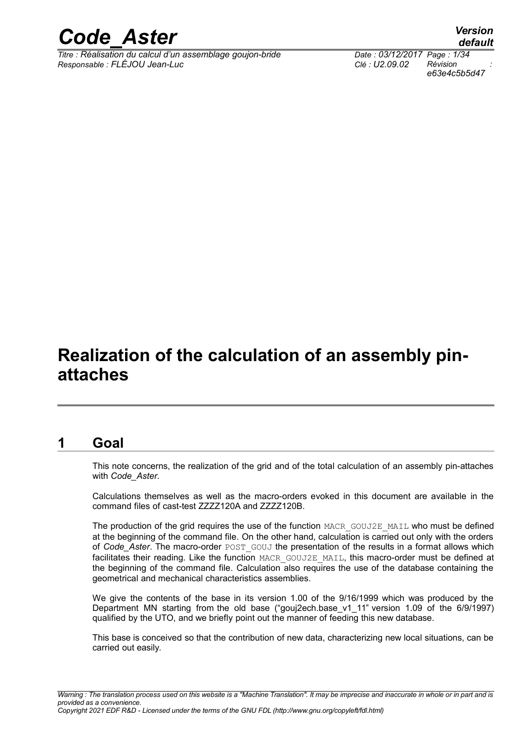

*Titre : Réalisation du calcul d'un assemblage goujon-bride Date : 03/12/2017 Page : 1/34 Responsable : FLÉJOU Jean-Luc Clé : U2.09.02 Révision :*

## **Realization of the calculation of an assembly pinattaches**

### **1 Goal**

This note concerns, the realization of the grid and of the total calculation of an assembly pin-attaches with *Code\_Aster*.

Calculations themselves as well as the macro-orders evoked in this document are available in the command files of cast-test ZZZZ120A and ZZZZ120B.

The production of the grid requires the use of the function MACR\_GOUJ2E\_MAIL who must be defined at the beginning of the command file. On the other hand, calculation is carried out only with the orders of *Code* Aster. The macro-order POST GOUJ the presentation of the results in a format allows which facilitates their reading. Like the function MACR\_GOUJ2E\_MAIL, this macro-order must be defined at the beginning of the command file. Calculation also requires the use of the database containing the geometrical and mechanical characteristics assemblies.

We give the contents of the base in its version 1.00 of the 9/16/1999 which was produced by the Department MN starting from the old base ("gouj2ech.base v1 11" version 1.09 of the 6/9/1997) qualified by the UTO, and we briefly point out the manner of feeding this new database.

This base is conceived so that the contribution of new data, characterizing new local situations, can be carried out easily.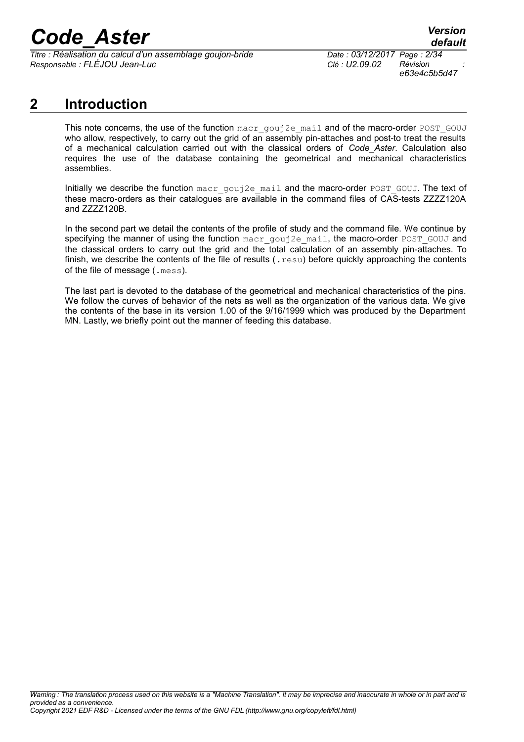*Titre : Réalisation du calcul d'un assemblage goujon-bride Date : 03/12/2017 Page : 2/34 Responsable : FLÉJOU Jean-Luc Clé : U2.09.02 Révision :*

*e63e4c5b5d47*

## **2 Introduction**

This note concerns, the use of the function  $max$  gouj2e mail and of the macro-order POST GOUJ who allow, respectively, to carry out the grid of an assembly pin-attaches and post-to treat the results of a mechanical calculation carried out with the classical orders of *Code\_Aster*. Calculation also requires the use of the database containing the geometrical and mechanical characteristics assemblies.

Initially we describe the function macr\_gouj2e\_mail and the macro-order POST\_GOUJ. The text of these macro-orders as their catalogues are available in the command files of CAS-tests ZZZZ120A and ZZZZ120B.

In the second part we detail the contents of the profile of study and the command file. We continue by specifying the manner of using the function macr\_gouj2e\_mail, the macro-order POST\_GOUJ and the classical orders to carry out the grid and the total calculation of an assembly pin-attaches. To finish, we describe the contents of the file of results  $(z_{\text{result}})$  before quickly approaching the contents of the file of message (.mess).

The last part is devoted to the database of the geometrical and mechanical characteristics of the pins. We follow the curves of behavior of the nets as well as the organization of the various data. We give the contents of the base in its version 1.00 of the 9/16/1999 which was produced by the Department MN. Lastly, we briefly point out the manner of feeding this database.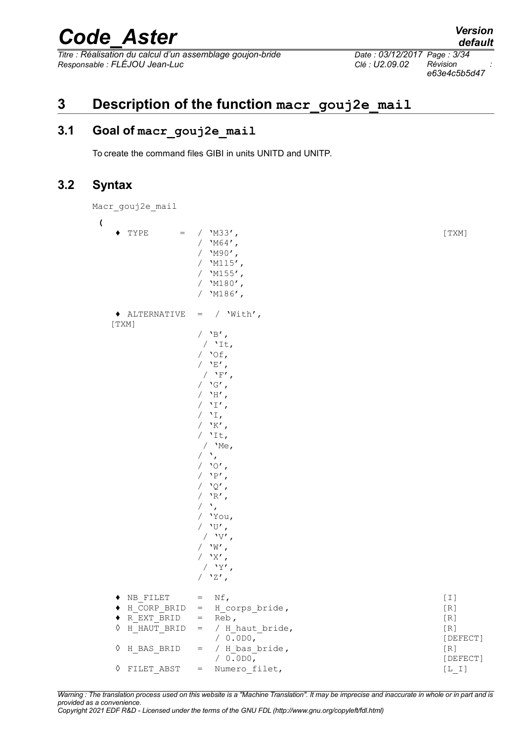*Titre : Réalisation du calcul d'un assemblage goujon-bride Date : 03/12/2017 Page : 3/34 Responsable : FLÉJOU Jean-Luc Clé : U2.09.02 Révision :*

## **3 Description of the function macr\_gouj2e\_mail**

### **3.1 Goal of macr\_gouj2e\_mail**

To create the command files GIBI in units UNITD and UNITP.

### **3.2 Syntax**

Macr gouj2e mail

| $\overline{\mathbf{r}}$<br>$\blacklozenge$ TYPE | $=$ / 'M33',                                  | [TXM]           |
|-------------------------------------------------|-----------------------------------------------|-----------------|
|                                                 | / $^{\prime}$ M64',                           |                 |
|                                                 | / $'$ M90',                                   |                 |
|                                                 | / $'M115'$ ,                                  |                 |
|                                                 | / $'M155'$ ,                                  |                 |
|                                                 | / $'M180'$ ,<br>/ $'M186'$ ,                  |                 |
|                                                 |                                               |                 |
| ♦ ALTERNATIVE<br>[TXM]                          | $=$ / $With'$ ,                               |                 |
|                                                 | / $'B'$ ,                                     |                 |
|                                                 | / $'$ It,                                     |                 |
|                                                 | / $'$ Of,<br>/ $E',$                          |                 |
|                                                 | $/$ $\Gamma'$ ,                               |                 |
|                                                 | / $\sqrt{G'}$ ,                               |                 |
|                                                 | / $'$ H',                                     |                 |
|                                                 | / $\mathbb{I}^{\prime}$ ,<br>/ $\mathbb{I}$ , |                 |
|                                                 | / $'K'$ ,                                     |                 |
|                                                 | / $'$ It,                                     |                 |
|                                                 | / $'$ Me,                                     |                 |
|                                                 | $/$ ,                                         |                 |
|                                                 | / $'0'$ ,<br>/ $'P'$ ,                        |                 |
|                                                 | / $^{\prime}$ $^{\prime}$ $^{\circ}$ ,        |                 |
|                                                 | / $\,^{\prime}$ \R' ,                         |                 |
|                                                 | $/ \Delta$                                    |                 |
|                                                 | / 'You,                                       |                 |
|                                                 | / $'U'$ ,<br>$\sqrt{V'}$                      |                 |
|                                                 | / $\sqrt{W'}$ ,                               |                 |
|                                                 | / $'X'$ ,                                     |                 |
|                                                 | / Y'                                          |                 |
|                                                 | $/$ 'Z',                                      |                 |
| $\blacklozenge$ NB FILET                        | $=$ Nf,                                       | $[1]$           |
| $\blacklozenge$ H CORP BRID                     | = H corps bride,                              | [R]             |
| $\blacklozenge$ R EXT BRID                      | $=$ Reb,                                      | [R]             |
| H HAUT BRID<br>♦                                | $=$ / H haut bride,<br>/ $0.0D0$ ,            | [R]             |
| $\lozenge$ H_BAS_BRID                           | $=$ / H_bas_bride,                            | [DEFECT]<br>[R] |
|                                                 | / $0.0D0,$                                    | [DEFECT]        |
| ♦ FILET ABST                                    | Numero filet,<br>$=$                          | $[L I]$         |

*Warning : The translation process used on this website is a "Machine Translation". It may be imprecise and inaccurate in whole or in part and is provided as a convenience.*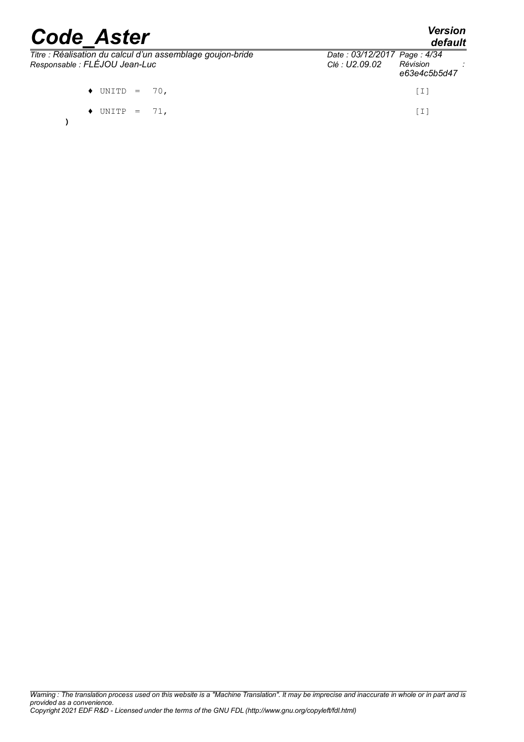| <b>Code Aster</b> | <b>Version</b> |
|-------------------|----------------|
|                   | default        |

**)**

| Titre : Réalisation du calcul d'un assemblage goujon-bride | Date: 03/12/2017 Page: 4/34 |          |  |
|------------------------------------------------------------|-----------------------------|----------|--|
| Responsable : FLÉJOU Jean-Luc                              | Clé : U2.09.02              | Révision |  |

|                                               | uciaull                  |
|-----------------------------------------------|--------------------------|
| Date: 03/12/2017 Page: 4/34<br>Clé : U2.09.02 | Révision<br>e63e4c5b5d47 |
|                                               | $\lceil 1 \rceil$        |

 $\bullet$  UNITP = 71,

 $\triangleleft$  UNITD = 70,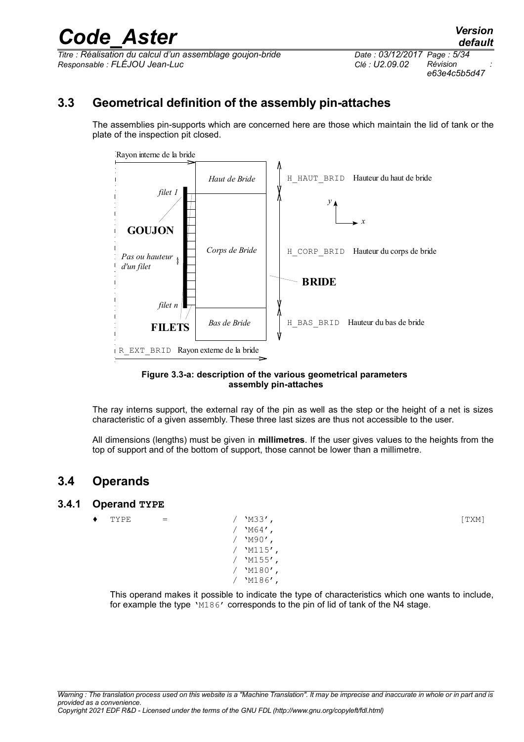*Titre : Réalisation du calcul d'un assemblage goujon-bride Date : 03/12/2017 Page : 5/34 Responsable : FLÉJOU Jean-Luc Clé : U2.09.02 Révision :*

*e63e4c5b5d47*

## **3.3 Geometrical definition of the assembly pin-attaches**

The assemblies pin-supports which are concerned here are those which maintain the lid of tank or the plate of the inspection pit closed.





The ray interns support, the external ray of the pin as well as the step or the height of a net is sizes characteristic of a given assembly. These three last sizes are thus not accessible to the user.

All dimensions (lengths) must be given in **millimetres**. If the user gives values to the heights from the top of support and of the bottom of support, those cannot be lower than a millimetre.

### **3.4 Operands**

#### **3.4.1 Operand TYPE**

 $\blacklozenge$  TYPE  $=$  /  $\blacktriangleright$   $\blacktriangleright$   $\blacktriangleright$   $\blacktriangleright$   $\blacktriangleright$   $\blacktriangleright$   $\blacktriangleright$   $\blacktriangleright$   $\blacktriangleright$   $\blacktriangleright$   $\blacktriangleright$   $\blacktriangleright$   $\blacktriangleright$   $\blacktriangleright$   $\blacktriangleright$   $\blacktriangleright$   $\blacktriangleright$   $\blacktriangleright$   $\blacktriangleright$   $\blacktriangleright$   $\blacktriangleright$   $\blacktriangleright$   $\blacktriangleright$   $\blacktriangleright$   $\blacktriangleright$   $\$ / 'M64', / 'M90',  $M115'$ , 'M155', / 'M180', / 'M186',

This operand makes it possible to indicate the type of characteristics which one wants to include, for example the type 'M186' corresponds to the pin of lid of tank of the N4 stage.

*default*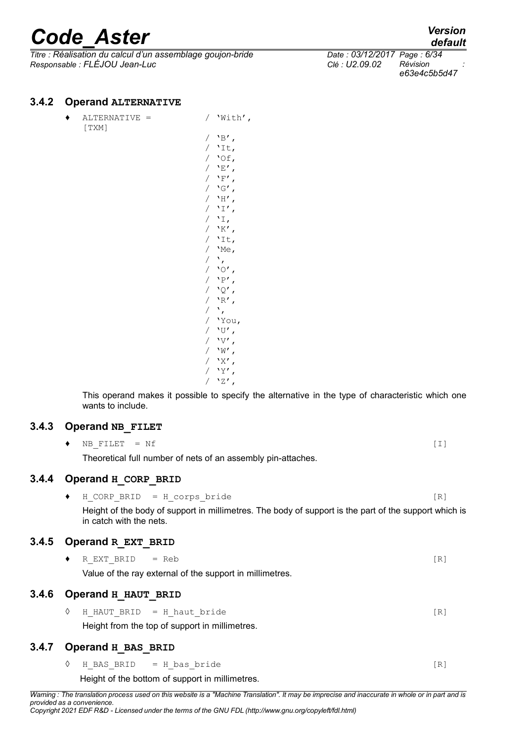*Titre : Réalisation du calcul d'un assemblage goujon-bride Date : 03/12/2017 Page : 6/34 Responsable : FLÉJOU Jean-Luc Clé : U2.09.02 Révision :*

| Date: 03/12/2017 Page: 6/34 |              |  |
|-----------------------------|--------------|--|
| Clé : U2.09.02              | Révision     |  |
|                             | e63e4c5b5d47 |  |

#### **3.4.2 Operand ALTERNATIVE**

 $\triangleleft$  ALTERNATIVE =  $\angle$  'With', [TXM]

| $\overline{a}$       | B',                            |
|----------------------|--------------------------------|
|                      | 'It,                           |
|                      | 'Of,                           |
|                      | E'                             |
|                      | $\mathbf{F}$                   |
|                      | $\mathcal{G}'$                 |
|                      | $\overline{r}$<br>$'_{\rm H'}$ |
|                      |                                |
|                      | $\mathbf{r}$                   |
|                      | `I,                            |
|                      | $'K'$ ,                        |
|                      | `It,                           |
|                      | Ne,                            |
|                      | $\mathbf{r}^{\prime}$          |
|                      | $\overline{O'}$                |
|                      | $\mathbf{P}'$                  |
|                      |                                |
|                      |                                |
|                      | $\frac{1}{2}$<br>$\cdot$ Q'    |
|                      | 'R'                            |
|                      | $\mathbf{r}$                   |
|                      | 'You,                          |
|                      | $\overline{U'}$                |
|                      | $\mathbf{v}$<br>$\mathbf{r}$   |
|                      | $\sqrt{M}$                     |
|                      | $\frac{1}{2}$                  |
| ノノノノノノノノノノノノノノノノノノノノ | `X'<br>`Y'<br>`Z'              |

This operand makes it possible to specify the alternative in the type of characteristic which one wants to include.

#### **3.4.3 Operand NB\_FILET**

| ▲ | 모 T T 모 모<br>NR | $-1$<br>N t | - |
|---|-----------------|-------------|---|
|   |                 |             |   |

Theoretical full number of nets of an assembly pin-attaches.

#### **3.4.4 Operand H\_CORP\_BRID**

◆ H\_CORP\_BRID = H\_corps\_bride [R]

Height of the body of support in millimetres. The body of support is the part of the support which is in catch with the nets.

#### **3.4.5 Operand R\_EXT\_BRID**

| $\bullet$ | <b>RRTD</b><br>F.XT<br>R | $\sim$<br>$=$<br>$R \subseteq$<br>__ |  |
|-----------|--------------------------|--------------------------------------|--|
|-----------|--------------------------|--------------------------------------|--|

Value of the ray external of the support in millimetres.

#### 3.4.6 Operand **H** HAUT BRID

◊ H\_HAUT\_BRID = H\_haut\_bride [R] Height from the top of support in millimetres.

#### **3.4.7 Operand H\_BAS\_BRID**

◊ H\_BAS\_BRID = H\_bas\_bride [R] Height of the bottom of support in millimetres.

*Warning : The translation process used on this website is a "Machine Translation". It may be imprecise and inaccurate in whole or in part and is provided as a convenience.*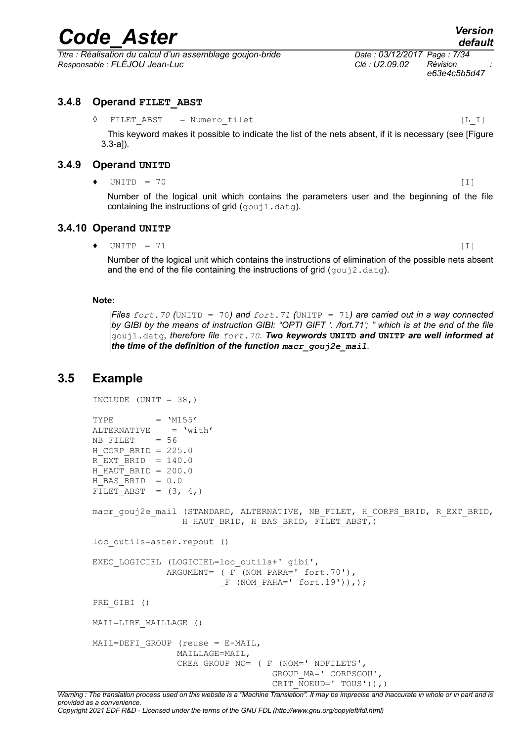*Titre : Réalisation du calcul d'un assemblage goujon-bride Date : 03/12/2017 Page : 7/34 Responsable : FLÉJOU Jean-Luc Clé : U2.09.02 Révision :*

*e63e4c5b5d47*

#### **3.4.8 Operand FILET\_ABST**

◊ FILET\_ABST = Numero\_filet [L\_I]

This keyword makes it possible to indicate the list of the nets absent, if it is necessary (see [Figure 3.3-a]).

#### **3.4.9 Operand UNITD**

 $\bullet$  UNITD = 70 [I]

Number of the logical unit which contains the parameters user and the beginning of the file containing the instructions of grid (gouj1.datg).

#### **3.4.10 Operand UNITP**

 $\bullet$  UNITP = 71 [I]

Number of the logical unit which contains the instructions of elimination of the possible nets absent and the end of the file containing the instructions of grid  $(gouj2.data)$ .

#### **Note:**

*Files fort.70 (*UNITD = 70*) and fort.71 (*UNITP = 71*) are carried out in a way connected by GIBI by the means of instruction GIBI: "OPTI GIFT '. /fort.71'; " which is at the end of the file* gouj1.datg*, therefore file fort.70. Two keywords* **UNITD** *and* **UNITP** *are well informed at the time of the definition of the function macr\_gouj2e\_mail*.

### **3.5 Example**

```
INCLUDE (UNIT = 38,)
TYPE = 'M155'ALTERNATIVE = 'with'NB FILET = 56H CORP BRID = 225.0
R EXT BRID = 140.0
H HAUT BRID = 200.0
HBAS BRID = 0.0
FILET ABST = (3, 4, )macr_gouj2e_mail (STANDARD, ALTERNATIVE, NB_FILET, H_CORPS_BRID, R_EXT_BRID,
                 H_HAUT_BRID, H_BAS_BRID, FILET_ABST,)
loc_outils=aster.repout ()
EXEC_LOGICIEL (LOGICIEL=loc_outils+' gibi',
              ARGUMENT= ( F (NOM PARA=' fort.70'),
                        \overline{F} (NOM PARA=' fort.19')),);
PRE GIBI ()
MAIL=LIRE_MAILLAGE ()
MAIL=DEFI_GROUP (reuse = E-MAIL,
                 MAILLAGE=MAIL,
                CREA GROUP NO= ( F (NOM=' NDFILETS',
                                   GROUP_MA=' CORPSGOU',
                                  CRIT NOEUD=' TOUS')),)
```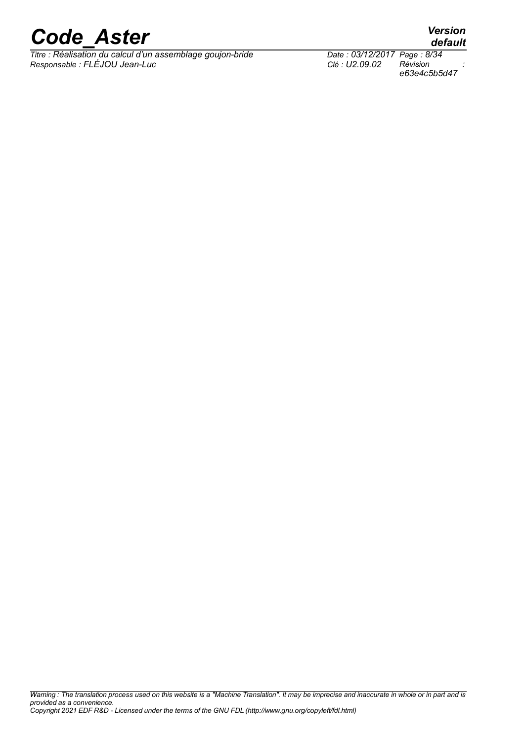*Titre : Réalisation du calcul d'un assemblage goujon-bride Date : 03/12/2017 Page : 8/34 Responsable : FLÉJOU Jean-Luc Clé : U2.09.02 Révision :*



*default*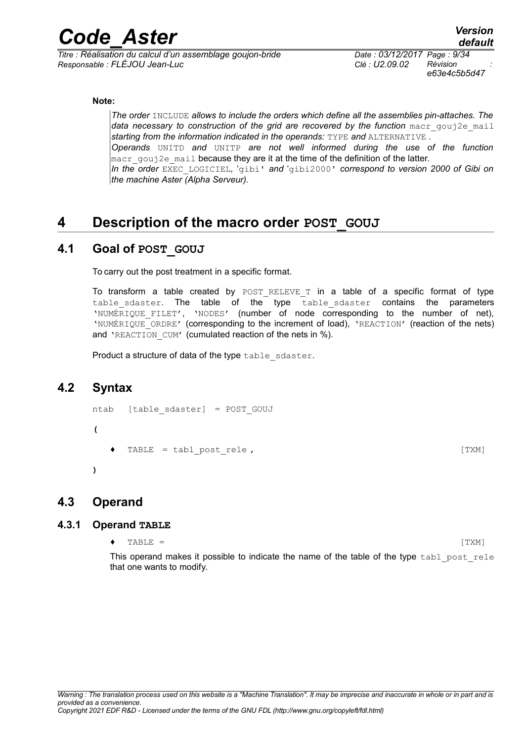*e63e4c5b5d47*

#### **Note:**

*The order* INCLUDE *allows to include the orders which define all the assemblies pin-attaches. The data necessary to construction of the grid are recovered by the function* macr gouj2e mail *starting from the information indicated in the operands:* TYPE *and* ALTERNATIVE *. Operands* UNITD *and* UNITP *are not well informed during the use of the function* macr gouj2e mail because they are it at the time of the definition of the latter. *In the order* EXEC\_LOGICIEL*,* 'gibi' *and* 'gibi2000' *correspond to version 2000 of Gibi on the machine Aster (Alpha Serveur).*

## **4 Description of the macro order POST\_GOUJ**

### **4.1 Goal of POST\_GOUJ**

To carry out the post treatment in a specific format.

To transform a table created by POST RELEVE T in a table of a specific format of type table sdaster. The table of the type table sdaster contains the parameters 'NUMÉRIQUE FILET', 'NODES' (number of node corresponding to the number of net), 'NUMÉRIQUE ORDRE' (corresponding to the increment of load), 'REACTION' (reaction of the nets) and 'REACTION CUM' (cumulated reaction of the nets in %).

Product a structure of data of the type table sdaster.

### **4.2 Syntax**

ntab [table\_sdaster] = POST\_GOUJ **(**  $TABLE = tabl$  post rele ,  $[TXM]$ **)**

### **4.3 Operand**

#### **4.3.1 Operand TABLE**

 $\blacklozenge$   $\blacksquare$  TABLE = [TXM]

This operand makes it possible to indicate the name of the table of the type  $\text{tabl post-rel}$ that one wants to modify.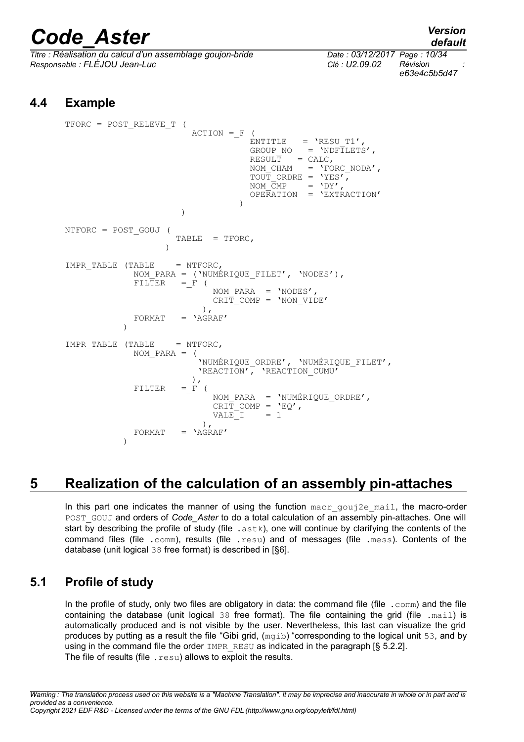*Titre : Réalisation du calcul d'un assemblage goujon-bride Date : 03/12/2017 Page : 10/34 Responsable : FLÉJOU Jean-Luc Clé : U2.09.02 Révision :*

*e63e4c5b5d47*

## **4.4 Example**

TFORC = POST\_RELEVE\_T (  $ACTION = F ($ <br>ENTITLE  $=$  'RESU T1' GROUP NO  $=$  'NDFILETS', RESULT = CALC,<br>NOM CHAM =  $'FC$  $=$  'FORC NODA', TOUT ORDRE =  $'YES'$ ,<br>NOM CMP =  $'DY'$ ,  $V = VDY',$  OPERATION = 'EXTRACTION'  $)$  ) NTFORC = POST\_GOUJ (  $\texttt{TABLE} = \texttt{TFORC}$ , ) IMPR TABLE (TABLE  $=$  NTFORC, NOM\_PARA = ('NUMÉRIQUE\_FILET', 'NODES'),  $FIL\overline{TER}$  =  $F$  ( NOM PARA =  $'NODES'$ ,  $CRI\overline{T}\_{COMP} = 'NON_VIDE'$  $\,$ ,  $\,$ ,  $\,$ ,  $\,$ ,  $\,$ ,  $\,$ ,  $\,$ ,  $\,$ ,  $\,$ ,  $\,$ ,  $\,$ ,  $\,$ ,  $\,$ ,  $\,$ ,  $\,$ ,  $\,$ ,  $\,$ ,  $\,$ ,  $\,$ ,  $\,$ ,  $\,$ ,  $\,$ ,  $\,$ ,  $\,$ ,  $\,$ ,  $\,$ ,  $\,$ ,  $\,$ ,  $\,$ ,  $\,$ ,  $\,$ ,  $\,$ ,  $\,$ ,  $\,$ ,  $\,$ ,  $\,$ ,  $\,$ ,  $FORMAT = 'AGRAF'$  $\overline{\phantom{a}}$ IMPR TABLE (TABLE  $=$  NTFORC, NOM PARA  $=$  ( 'NUMÉRIQUE\_ORDRE', 'NUMÉRIQUE\_FILET', 'REACTION', 'REACTION CUMU'  $\,$ ,  $\,$  $FILTER = F ($ NOM PARA = 'NUMÉRIQUE ORDRE',  $CRIT\_COMP = 'EQ'$  ,  $VALE$ <sub>I</sub> = 1  $\left( \begin{array}{c} 1 \end{array} \right)$ ,  $\begin{array}{ccc} & & \text{)} \\ \text{FORMAT} & = & \text{'AGRAF'} \end{array}$  $\overline{\phantom{a}}$ 

## **5 Realization of the calculation of an assembly pin-attaches**

In this part one indicates the manner of using the function macr gouj2e mail, the macro-order POST\_GOUJ and orders of *Code\_Aster* to do a total calculation of an assembly pin-attaches. One will start by describing the profile of study (file  $.$  astk), one will continue by clarifying the contents of the command files (file .comm), results (file .resu) and of messages (file .mess). Contents of the database (unit logical 38 free format) is described in [§6].

## **5.1 Profile of study**

In the profile of study, only two files are obligatory in data: the command file (file .comm) and the file containing the database (unit logical  $38$  free format). The file containing the grid (file . mail) is automatically produced and is not visible by the user. Nevertheless, this last can visualize the grid produces by putting as a result the file "Gibi grid, (mgib) "corresponding to the logical unit 53, and by using in the command file the order  $IMPR$  RESU as indicated in the paragraph  $[§ 5.2.2]$ . The file of results (file . resu) allows to exploit the results.

*default*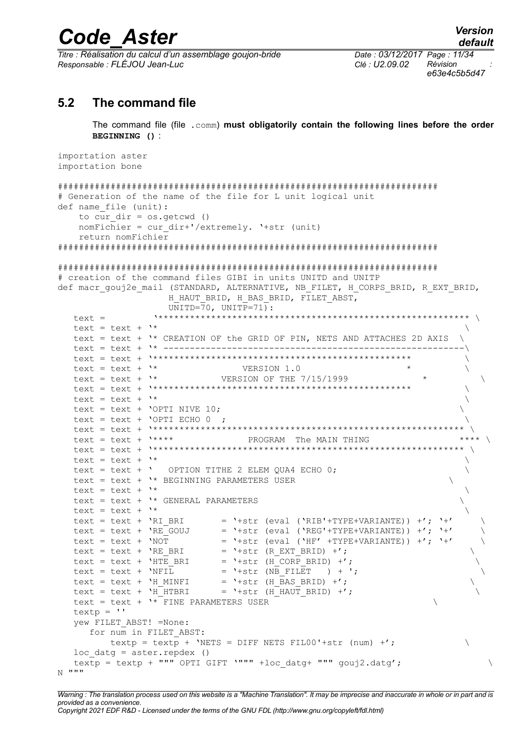*Titre : Réalisation du calcul d'un assemblage goujon-bride Date : 03/12/2017 Page : 11/34 Responsable : FLÉJOU Jean-Luc Clé : U2.09.02 Révision :*

*e63e4c5b5d47*

### **5.2 The command file**

The command file (file .comm) **must obligatorily contain the following lines before the order BEGINNING ()** :

```
importation aster
importation bone
########################################################################
# Generation of the name of the file for L unit logical unit
def name_file (unit):
   to cur dir = os.getcwd ()
   nomFichier = cur dir+'/extremely. '+str (unit)
    return nomFichier
########################################################################
########################################################################
# creation of the command files GIBI in units UNITD and UNITP
def macr_gouj2e_mail (STANDARD, ALTERNATIVE, NB_FILET, H_CORPS_BRID, R_EXT_BRID,
                 H_HAUT_BRID, H_BAS_BRID, FILET_ABST,
                 U\overline{N}I\overline{T}D=70, UNITP=71):
   text = '*********************************************************** \
  text = text + '*
  text = text + \cdot* CREATION OF the GRID OF PIN, NETS AND ATTACHES 2D AXIS \
   text = text + '* ---------------------------------------------------------\
   text = text + '************************************************* \
  text = text + \lambda^* VERSION 1.0 \lambda \lambdatext = text + ' ' VERSION OF THE 7/15/1999 * text = text + '************************************************* \
  text = text + '* \qquadtext = text + 'OPTI NIVE 10;
  text = text + 'OPTI ECHO 0 ;
   text = text + '*********************************************************** \
                     PROGRAM The MAIN THING *** text = text + '*********************************************************** \
  text = text + '* \qquad \qquadtext = text + \cdot OPTION TITHE 2 ELEM QUA4 ECHO 0;
  text = text + '* BEGINNING PARAMETERS USER
  text = text + '* \qquadtext = text + \prime* GENERAL PARAMETERS
  text = text + '*<br>text = text + 'RI BRI
text = text + "RI\_BRI = "+str (eval ("RIB' + TYPE+VARIANTE)) +'; "+' \
text = text + 'RE_GOUI = '+str (eval ('REG'+TYPE+VARIANTE)) +'; '+'
  text = text + 'NOT = '+str (eval ('HF' +TYPE+VARIANTE)) +'; '+'<br>text = text + 'RE_BRI = '+str (R_EXT_BRID) +';
text = text + 'RE\_BRI = '+str (R_EXT_BRID) +';
text = text + 'HTE_BRI = '+str (H_CORP_BRID) +';
  text = text + 'NFIL = '+str (NB_FILET ) + ';
text = text + 'H_MINFI = '+str (H_BAS_BRID) +';
text = text + H_HTBRI = H_HTBRI = H_HAUT_BRID + \gamma;
  text = text + '* FINE PARAMETERS USER -textp = ''yew FILET ABST! =None:
     for num in FILET_ABST:
        textp = textp + 'NETS = DIFF NETS FIL00'+str (num) +';
  loc datg = aster.repdex ()
  textp = textp + """ OPTI GIFT '""" +loc datg+ """ gouj2.datg';
N """
```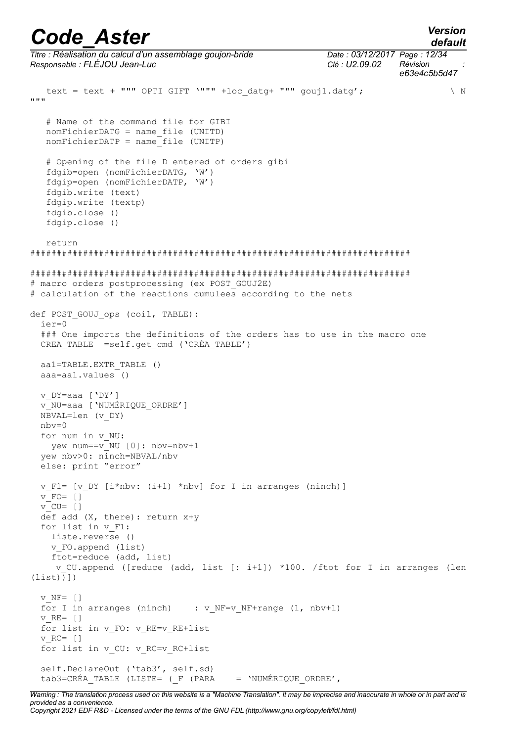*default*

*Titre : Réalisation du calcul d'un assemblage goujon-bride Date : 03/12/2017 Page : 12/34 Responsable : FLÉJOU Jean-Luc Clé : U2.09.02 Révision : e63e4c5b5d47* text = text + """ OPTI GIFT '""" +loc datg+ """ gouj1.datg';  $\bigwedge N$ ""<br>" # Name of the command file for GIBI nomFichierDATG = name\_file (UNITD)  $nomFichierDATP = name$  file (UNITP) # Opening of the file D entered of orders gibi fdgib=open (nomFichierDATG, 'W') fdgip=open (nomFichierDATP, 'W') fdgib.write (text) fdgip.write (textp) fdgib.close () fdgip.close () return ######################################################################## ######################################################################## # macro orders postprocessing (ex POST\_GOUJ2E) # calculation of the reactions cumulees according to the nets def POST GOUJ ops (coil, TABLE): ier=0 ### One imports the definitions of the orders has to use in the macro one CREA\_TABLE =self.get\_cmd ('CRÉA\_TABLE') aa1=TABLE.EXTR\_TABLE () aaa=aa1.values () v\_DY=aaa ['DY'] v\_NU=aaa ['NUMÉRIQUE\_ORDRE'] NBVAL=len (v\_DY) nbv=0 for num in v\_NU: yew num==v\_NU [0]: nbv=nbv+1 yew nbv>0: ninch=NBVAL/nbv else: print "error" v F1= [v DY [i\*nbv: (i+1) \*nbv] for I in arranges (ninch)]  $v$   $FO=$   $[$ ]  $v$   $CU=$   $[$ ] def add (X, there): return x+y for list in v\_F1: liste.reverse () v\_FO.append (list) ftot=reduce (add, list) v CU.append ([reduce (add, list [: i+1]) \*100. /ftot for I in arranges (len (list))])  $v$  NF=  $[ ]$ for I in arranges (ninch) : v NF=v NF+range (1, nbv+1)  $v$  RE=  $[$ ] for list in v\_FO: v\_RE=v\_RE+list  $v$  RC=  $[]$  for list in v\_CU: v\_RC=v\_RC+list self.DeclareOut ('tab3', self.sd) tab3=CRÉA\_TABLE (LISTE= ( F (PARA = 'NUMÉRIQUE ORDRE',

*Warning : The translation process used on this website is a "Machine Translation". It may be imprecise and inaccurate in whole or in part and is provided as a convenience. Copyright 2021 EDF R&D - Licensed under the terms of the GNU FDL (http://www.gnu.org/copyleft/fdl.html)*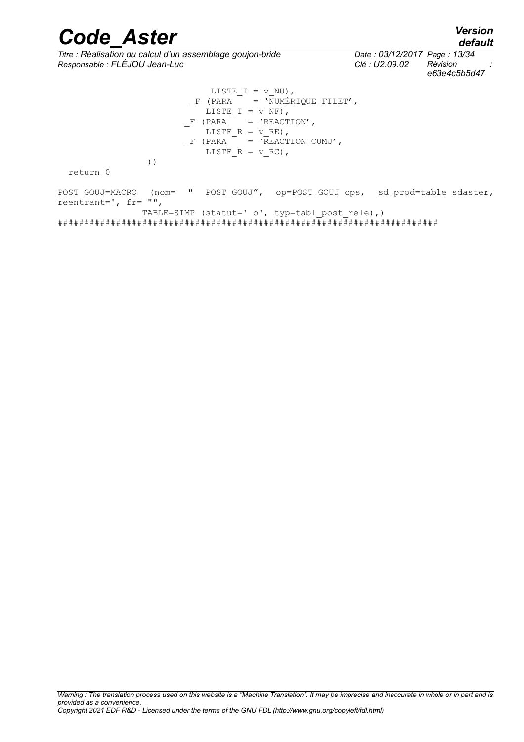*Titre : Réalisation du calcul d'un assemblage goujon-bride Date : 03/12/2017 Page : 13/34 Responsable : FLÉJOU Jean-Luc Clé : U2.09.02 Révision :*

*e63e4c5b5d47*

$$
\begin{array}{rcl}\n & & \texttt{LISTE\_I} = & \texttt{v\_NU}, \\
-\texttt{F} & (\texttt{PARA} & = & \texttt{'NUMÉRIQUE\_Filter}', \\
 & & \texttt{LISTE\_I} = & \texttt{v\_NF}, \\
-\texttt{F} & (\texttt{PARA} & = & \text{'REACTION}', \\
 & & \texttt{LISTE\_R} = & \texttt{v\_RE}, \\
-\texttt{F} & (\texttt{PARA} & = & \text{'REACTION\_CUMU}', \\
 & & \texttt{LISTE\_R} = & \texttt{v\_RC}, \\
 & & \texttt{LISTE\_R} = & \texttt{v\_RC},\n\end{array}
$$

POST GOUJ=MACRO (nom= " POST GOUJ", op=POST GOUJ ops, sd prod=table sdaster, reentrant=', fr= "",

 TABLE=SIMP (statut=' o', typ=tabl\_post\_rele),) ########################################################################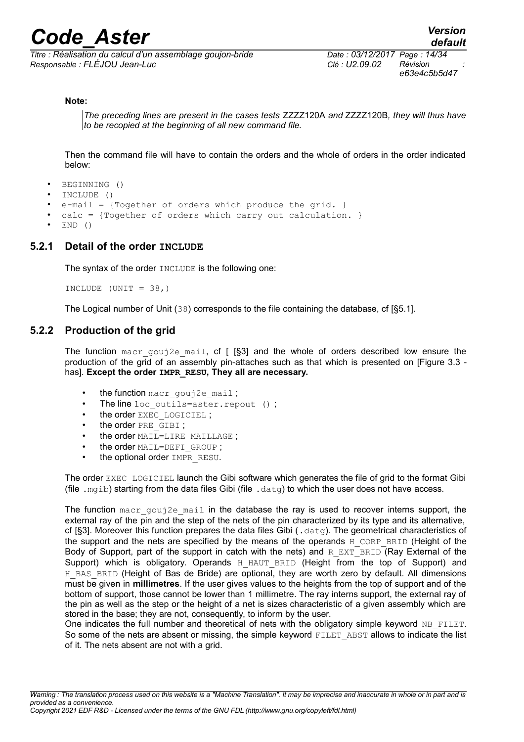*Titre : Réalisation du calcul d'un assemblage goujon-bride Date : 03/12/2017 Page : 14/34 Responsable : FLÉJOU Jean-Luc Clé : U2.09.02 Révision :*

#### **Note:**

*The preceding lines are present in the cases tests* ZZZZ120A *and* ZZZZ120B*, they will thus have to be recopied at the beginning of all new command file.*

Then the command file will have to contain the orders and the whole of orders in the order indicated below:

- BEGINNING ()
- INCLUDE ()
- $e$ -mail = {Together of orders which produce the grid. }
- calc = {Together of orders which carry out calculation. }
- END ()

#### **5.2.1 Detail of the order INCLUDE**

The syntax of the order INCLUDE is the following one:

INCLUDE (UNIT =  $38$ ,)

The Logical number of Unit (38) corresponds to the file containing the database, cf [§5.1].

#### **5.2.2 Production of the grid**

The function  $max_{c}$  gouj2e mail, cf  $[$  [§3] and the whole of orders described low ensure the production of the grid of an assembly pin-attaches such as that which is presented on [Figure 3.3 has]. **Except the order IMPR\_RESU, They all are necessary.**

- the function macr gouj2e mail;
- The line loc outils=aster.repout ();
- the order EXEC LOGICIEL;
- the order PRE GIBI;
- the order MAIL=LIRE\_MAILLAGE ;
- the order MAIL=DEFI GROUP ;
- the optional order IMPR\_RESU.

The order EXEC\_LOGICIEL launch the Gibi software which generates the file of grid to the format Gibi (file .  $mqib$ ) starting from the data files Gibi (file .  $data$ ) to which the user does not have access.

The function  $max$   $gouj2e$   $mail$  in the database the ray is used to recover interns support, the external ray of the pin and the step of the nets of the pin characterized by its type and its alternative, cf [§3]. Moreover this function prepares the data files Gibi  $(.data)$ . The geometrical characteristics of the support and the nets are specified by the means of the operands  $H_{CORP}$  BRID (Height of the Body of Support, part of the support in catch with the nets) and  $R$  EXT\_BRID (Ray External of the Support) which is obligatory. Operands H\_HAUT\_BRID (Height from the top of Support) and H\_BAS\_BRID (Height of Bas de Bride) are optional, they are worth zero by default. All dimensions must be given in **millimetres**. If the user gives values to the heights from the top of support and of the bottom of support, those cannot be lower than 1 millimetre. The ray interns support, the external ray of the pin as well as the step or the height of a net is sizes characteristic of a given assembly which are stored in the base; they are not, consequently, to inform by the user.

One indicates the full number and theoretical of nets with the obligatory simple keyword NB\_FILET. So some of the nets are absent or missing, the simple keyword FILET ABST allows to indicate the list of it. The nets absent are not with a grid.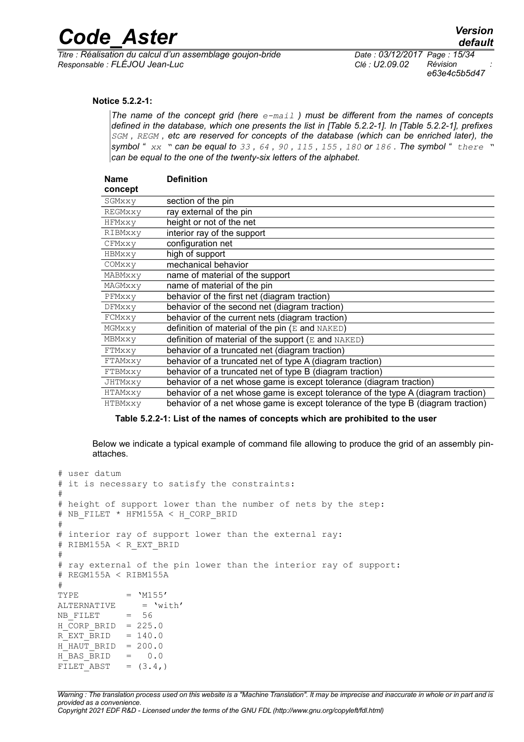*Titre : Réalisation du calcul d'un assemblage goujon-bride Responsable : FLÉJOU Jean-Luc Clé : U2.09.02 Révision :*

#### **Notice 5.2.2-1:**

*The name of the concept grid (here e-mail ) must be different from the names of concepts defined in the database, which one presents the list in [Table 5.2.2-1]. In [Table 5.2.2-1], prefixes SGM , REGM , etc are reserved for concepts of the database (which can be enriched later), the* symbol "  $xx$  " can be equal to 33, 64, 90, 115, 155, 180 or 186. The symbol " there " *can be equal to the one of the twenty-six letters of the alphabet.*

| <b>Name</b> | <b>Definition</b>                                                                 |
|-------------|-----------------------------------------------------------------------------------|
| concept     |                                                                                   |
| SGMxxy      | section of the pin                                                                |
| REGMXXV     | ray external of the pin                                                           |
| HFMxxy      | height or not of the net                                                          |
| RIBMxxy     | interior ray of the support                                                       |
| CFMxxy      | configuration net                                                                 |
| HBMxxy      | high of support                                                                   |
| COMXXV      | mechanical behavior                                                               |
| MABMxxy     | name of material of the support                                                   |
| MAGMxxy     | name of material of the pin                                                       |
| PFMxxy      | behavior of the first net (diagram traction)                                      |
| DFMxxy      | behavior of the second net (diagram traction)                                     |
| FCMxxy      | behavior of the current nets (diagram traction)                                   |
| MGMxxy      | definition of material of the pin ( $E$ and $NAKED$ )                             |
| MBMxxy      | definition of material of the support ( $E$ and $NAKED$ )                         |
| FTMxxy      | behavior of a truncated net (diagram traction)                                    |
| FTAMxxy     | behavior of a truncated net of type A (diagram traction)                          |
| FTBMxxy     | behavior of a truncated net of type B (diagram traction)                          |
| JHTMxxy     | behavior of a net whose game is except tolerance (diagram traction)               |
| HTAMxxy     | behavior of a net whose game is except tolerance of the type A (diagram traction) |
| HTBMxxv     | behavior of a net whose game is except tolerance of the type B (diagram traction) |

**Table 5.2.2-1: List of the names of concepts which are prohibited to the user**

Below we indicate a typical example of command file allowing to produce the grid of an assembly pinattaches.

```
# user datum
# it is necessary to satisfy the constraints:
#
# height of support lower than the number of nets by the step:
# NB_FILET * HFM155A < H_CORP_BRID
#
# interior ray of support lower than the external ray:
# RIBM155A < R_EXT_BRID
#
# ray external of the pin lower than the interior ray of support:
# REGM155A < RIBM155A
#
TYPE = 'M155'ALTERNATIVE = 'with'NB FILET = 56
H CORP BRID = 225.0R EXT BRID = 140.0H<sup>H</sup>HAUT_BRID = 200.0<br>
HBAS BRID = 0.0
H_BAS_BRID
FILET ABST = (3.4)
```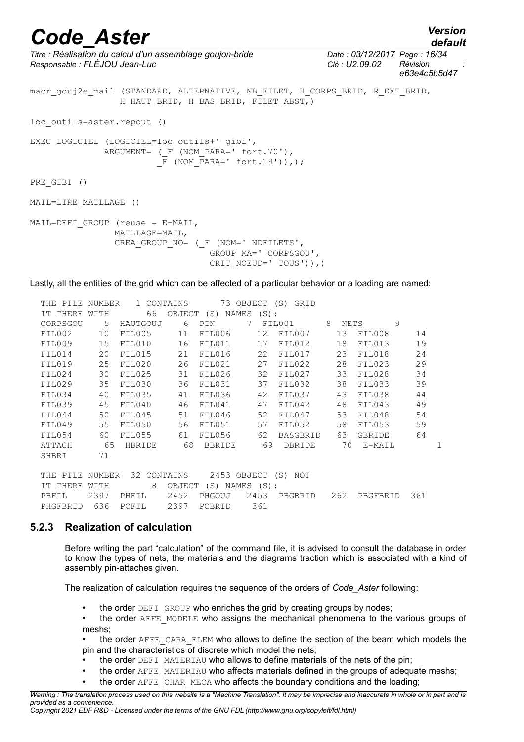*default*

*e63e4c5b5d47*

*Titre : Réalisation du calcul d'un assemblage goujon-bride Date : 03/12/2017 Page : 16/34 Responsable : FLÉJOU Jean-Luc Clé : U2.09.02 Révision :* macr\_gouj2e\_mail (STANDARD, ALTERNATIVE, NB\_FILET, H\_CORPS\_BRID, R\_EXT\_BRID, H\_HAUT\_BRID, H\_BAS\_BRID, FILET\_ABST,) loc\_outils=aster.repout () EXEC\_LOGICIEL (LOGICIEL=loc\_outils+' gibi', ARGUMENT=  $(F$  (NOM PARA=' fort.70'),  $\overline{F}$  (NOM PARA=' fort.19')),); PRE GIBI () MAIL=LIRE\_MAILLAGE () MAIL=DEFI\_GROUP (reuse = E-MAIL, MAILLAGE=MAIL, CREA GROUP NO= ( F (NOM=' NDFILETS', GROUP\_MA=' CORPSGOU', CRIT\_NOEUD=' TOUS')),) Lastly, all the entities of the grid which can be affected of a particular behavior or a loading are named:

 THE PILE NUMBER 1 CONTAINS 73 OBJECT (S) GRID IT THERE WITH 66 OBJECT (S) NAMES (S): CORPSGOU 5 HAUTGOUJ 6 PIN 7 FIL001 8 NETS 9 FIL002 10 FIL005 11 FIL006 12 FIL007 13 FIL008 14 FIL009 15 FIL010 16 FIL011 17 FIL012 18 FIL013 19 FIL014 20 FIL015 21 FIL016 22 FIL017 23 FIL018 24 FIL019 25 FIL020 26 FIL021 27 FIL022 28 FIL023 29 FIL024 30 FIL025 31 FIL026 32 FIL027 33 FIL028 34 FIL029 35 FIL030 36 FIL031 37 FIL032 38 FIL033 39 FIL034 40 FIL035 41 FIL036 42 FIL037 43 FIL038 44 FIL039 45 FIL040 46 FIL041 47 FIL042 48 FIL043 49 FIL044 50 FIL045 51 FIL046 52 FIL047 53 FIL048 54<br>FIL049 55 FIL050 56 FIL051 57 FIL052 58 FIL053 59 FIL049 55 FIL050 56 FIL051 57 FIL052 58 FIL053 59 FIL054 60 FIL055 61 FIL056 62 BASGBRID 63 GBRIDE 64 ATTACH 65 HBRIDE 68 BBRIDE 69 DBRIDE 70 E-MAIL 1 SHBRI 71 THE PILE NUMBER 32 CONTAINS 2453 OBJECT (S) NOT IT THERE WITH 8 OBJECT (S) NAMES (S): PBFIL 2397 PHFIL 2452 PHGOUJ 2453 PBGBRID 262 PBGFBRID 361 PHGFBRID 636 PCFIL 2397 PCBRID 361

#### **5.2.3 Realization of calculation**

Before writing the part "calculation" of the command file, it is advised to consult the database in order to know the types of nets, the materials and the diagrams traction which is associated with a kind of assembly pin-attaches given.

The realization of calculation requires the sequence of the orders of *Code\_Aster* following:

- the order DEFI GROUP who enriches the grid by creating groups by nodes;
- the order AFFE\_MODELE who assigns the mechanical phenomena to the various groups of meshs;
- the order AFFE\_CARA\_ELEM who allows to define the section of the beam which models the pin and the characteristics of discrete which model the nets;
- the order DEFI\_MATERIAU who allows to define materials of the nets of the pin;
- the order AFFE\_MATERIAU who affects materials defined in the groups of adequate meshs;
- the order AFFE\_CHAR\_MECA who affects the boundary conditions and the loading;

*Warning : The translation process used on this website is a "Machine Translation". It may be imprecise and inaccurate in whole or in part and is provided as a convenience.*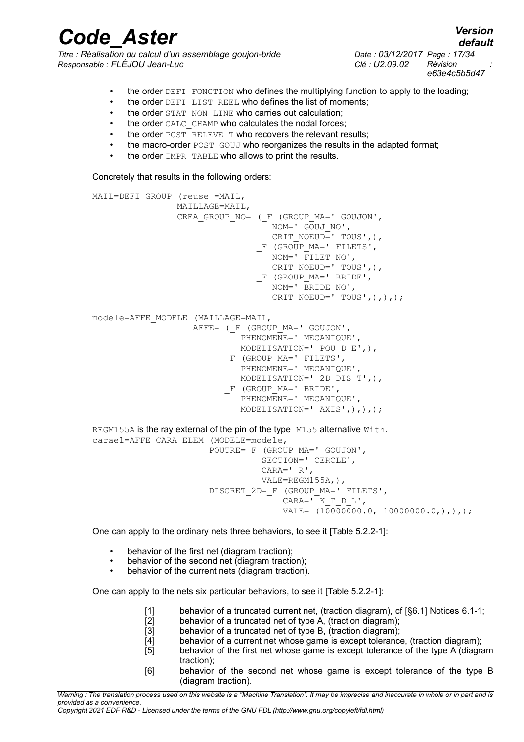*Titre : Réalisation du calcul d'un assemblage goujon-bride Date : 03/12/2017 Page : 17/34 Responsable : FLÉJOU Jean-Luc Clé : U2.09.02 Révision :*

*e63e4c5b5d47*

*default*

the order DEFI\_FONCTION who defines the multiplying function to apply to the loading;

*Code\_Aster Version*

- the order DEFI\_LIST\_REEL who defines the list of moments;
- the order  $STAT$  NON LINE who carries out calculation:
- the order CALC\_CHAMP who calculates the nodal forces;
- the order POST\_RELEVE\_T who recovers the relevant results;
- the macro-order POST  $GOUJ$  who reorganizes the results in the adapted format;
- the order IMPR TABLE who allows to print the results.

Concretely that results in the following orders:

MAIL=DEFI\_GROUP (reuse =MAIL, MAILLAGE=MAIL, CREA\_GROUP\_NO= (\_F (GROUP\_MA=' GOUJON', NOM=' GOUJ\_NO', CRIT\_NOEUD=' TOUS',), F (GROUP MA=' FILETS', NOM='  $\overline{F}$  ILET NO', CRIT NOEUD= $\overline{'}$  TOUS',), F (GROUP MA=' BRIDE', NOM=' BRIDE\_NO', CRIT NOEUD= $\overline{'}$  TOUS',),),); modele=AFFE\_MODELE (MAILLAGE=MAIL, AFFE= (F (GROUP MA=' GOUJON', PHENOMENE=' MECANIQUE', MODELISATION=' POU D E',), F (GROUP MA=' FILETS', PHENOMENE=' MECANIQUE', MODELISATION=' 2D\_DIS\_T',), F (GROUP MA=' BRIDE', PHENOMENE=' MECANIQUE', MODELISATION=' AXIS',),),); REGM155A is the ray external of the pin of the type  $M155$  alternative  $With.$ carael=AFFE\_CARA\_ELEM (MODELE=modele, POUTRE= F (GROUP MA=' GOUJON', SECTION=' CERCLE', CARA=' R', VALE=REGM155A, ), DISCRET\_2D=\_F (GROUP\_MA=' FILETS',  $CARA = 'K T D L',$ VALE=  $(10000000.0, 10000000.0, ),);$ 

One can apply to the ordinary nets three behaviors, to see it [Table 5.2.2-1]:

- behavior of the first net (diagram traction);
- behavior of the second net (diagram traction);
- behavior of the current nets (diagram traction).

One can apply to the nets six particular behaviors, to see it [Table 5.2.2-1]:

- [1] behavior of a truncated current net, (traction diagram), cf [§6.1] Notices 6.1-1;
- $[2]$  behavior of a truncated net of type A, (traction diagram);
- [3] behavior of a truncated net of type B, (traction diagram);
- [4] behavior of a current net whose game is except tolerance, (traction diagram);
- [5] behavior of the first net whose game is except tolerance of the type A (diagram traction);
- [6] behavior of the second net whose game is except tolerance of the type B (diagram traction).

*Warning : The translation process used on this website is a "Machine Translation". It may be imprecise and inaccurate in whole or in part and is provided as a convenience.*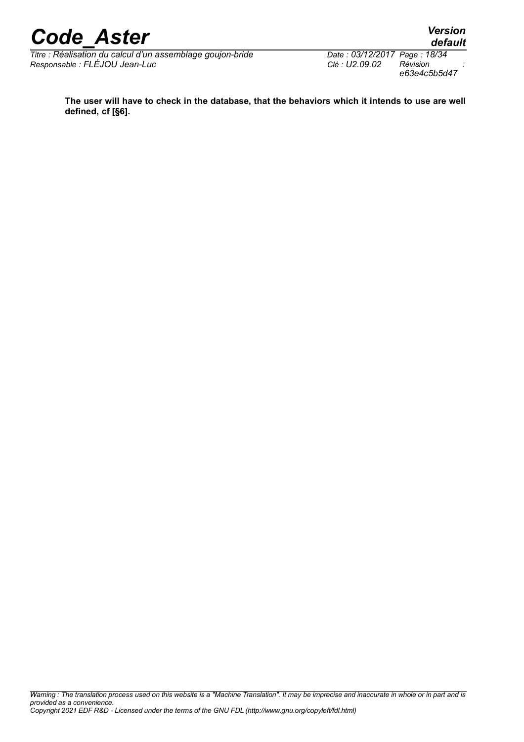

*Titre : Réalisation du calcul d'un assemblage goujon-bride Date : 03/12/2017 Page : 18/34 Responsable : FLÉJOU Jean-Luc Clé : U2.09.02 Révision :*

*default*

**The user will have to check in the database, that the behaviors which it intends to use are well defined, cf [§6].**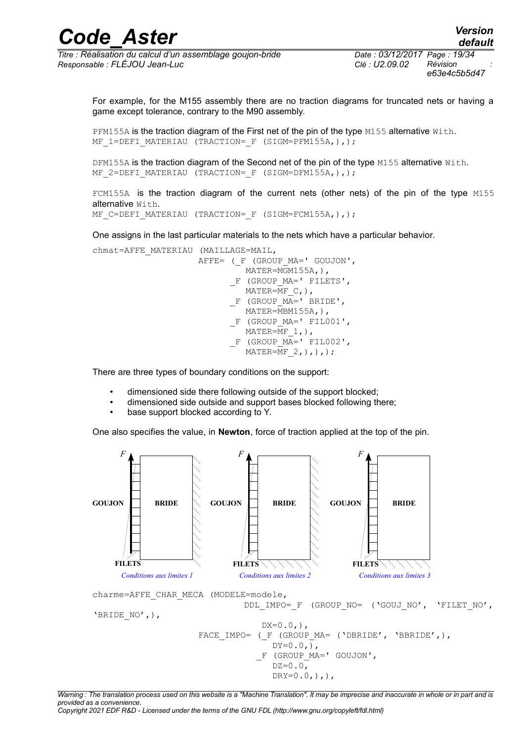*default*

For example, for the M155 assembly there are no traction diagrams for truncated nets or having a game except tolerance, contrary to the M90 assembly.

PFM155A is the traction diagram of the First net of the pin of the type M155 alternative With. MF\_1=DEFI\_MATERIAU (TRACTION= F (SIGM=PFM155A,),);

DFM155A is the traction diagram of the Second net of the pin of the type M155 alternative With. MF\_2=DEFI\_MATERIAU (TRACTION= F (SIGM=DFM155A,),);

FCM155A is the traction diagram of the current nets (other nets) of the pin of the type M155 alternative With.

MF C=DEFI MATERIAU (TRACTION= F (SIGM=FCM155A,),);

One assigns in the last particular materials to the nets which have a particular behavior.

chmat=AFFE\_MATERIAU (MAILLAGE=MAIL, AFFE= (F (GROUP MA=' GOUJON', MATER=MGM155A, ), F (GROUP MA=' FILETS', MATER=MF C, ), F (GROUP MA=' BRIDE', MATER=MBM155A, ), F (GROUP MA=' FIL001', MATER= $\overline{M}$ F 1,),  $F$  (GROUP  $M\overline{A}$ =' FIL002', MATER= $\overline{\text{MF}}$  2, ),),);

There are three types of boundary conditions on the support:

- dimensioned side there following outside of the support blocked;
- dimensioned side outside and support bases blocked following there;
- base support blocked according to Y.

One also specifies the value, in **Newton**, force of traction applied at the top of the pin.

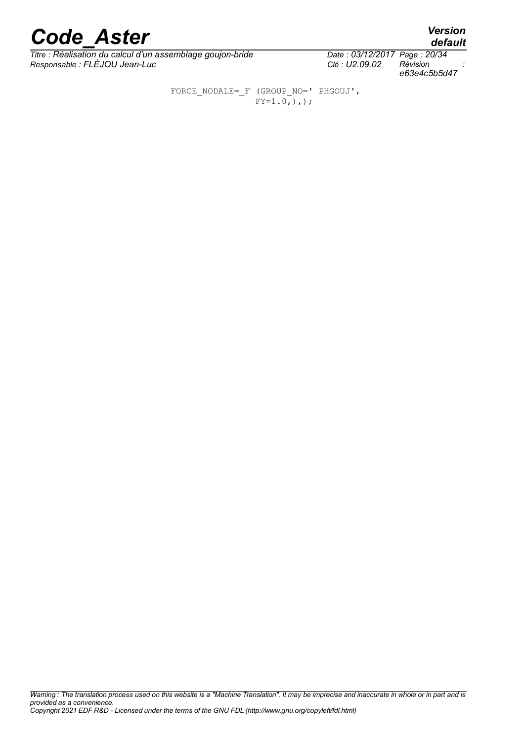*Titre : Réalisation du calcul d'un assemblage goujon-bride Date : 03/12/2017 Page : 20/34 Responsable : FLÉJOU Jean-Luc Clé : U2.09.02 Révision :*

*e63e4c5b5d47*

*default*

FORCE NODALE= F (GROUP NO=' PHGOUJ',  $FY=1.0, )$ ,);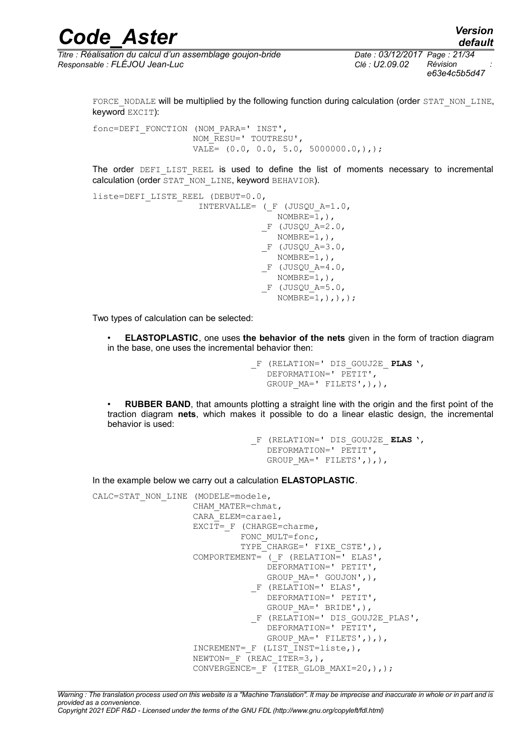*default*

FORCE\_NODALE will be multiplied by the following function during calculation (order STAT\_NON\_LINE, keyword EXCIT):

fonc=DEFI\_FONCTION (NOM\_PARA=' INST', NOM\_RESU=' TOUTRESU', VALE=  $(0.0, 0.0, 5.0, 5000000.0, ),$ 

The order DEFI LIST REEL is used to define the list of moments necessary to incremental calculation (order STAT\_NON\_LINE, keyword BEHAVIOR).

liste=DEFI\_LISTE\_REEL (DEBUT=0.0, INTERVALLE= (\_F (JUSQU\_A=1.0, NOMBRE=1,),  $F$  (JUSQU A=2.0, NOMBRE=1,),  $F$  (JUSQU A=3.0,  $NOMBRE=1$ , ),  $F$  (JUSQU A=4.0, NOMBRE=1,),  $F$  (JUSQU A=5.0,  $NOMBRE=1,$ ,,,,,

Two types of calculation can be selected:

• **ELASTOPLASTIC**, one uses **the behavior of the nets** given in the form of traction diagram in the base, one uses the incremental behavior then:

> \_F (RELATION=' DIS\_GOUJ2E\_ **PLAS** ', DEFORMATION=' PETIT', GROUP MA=' FILETS',),),

• **RUBBER BAND**, that amounts plotting a straight line with the origin and the first point of the traction diagram **nets**, which makes it possible to do a linear elastic design, the incremental behavior is used:

```
 _F (RELATION=' DIS_GOUJ2E_ ELAS ',
    DEFORMATION=' PETIT',
   GROUP MA=' FILETS',),),
```
In the example below we carry out a calculation **ELASTOPLASTIC**.

CALC=STAT\_NON\_LINE (MODELE=modele, CHAM MATER=chmat, CARA\_ELEM=carael, EXCIT= F (CHARGE=charme, FONC MULT=fonc, TYPE CHARGE=' FIXE CSTE', ), COMPORTEMENT= (\_F (RELATION=' ELAS', DEFORMATION=' PETIT', GROUP\_MA=' GOUJON',), \_F (RELATION=' ELAS', DEFORMATION=' PETIT', GROUP\_MA=' BRIDE',), \_F (RELATION=' DIS GOUJ2E PLAS', DEFORMATION=' PETIT', GROUP MA=' FILETS',),), INCREMENT=\_F (LIST\_INST=liste,), NEWTON=  $\overline{F}$  (REAC ITER=3,), CONVERGENCE=  $F$  (ITER GLOB MAXI=20,),);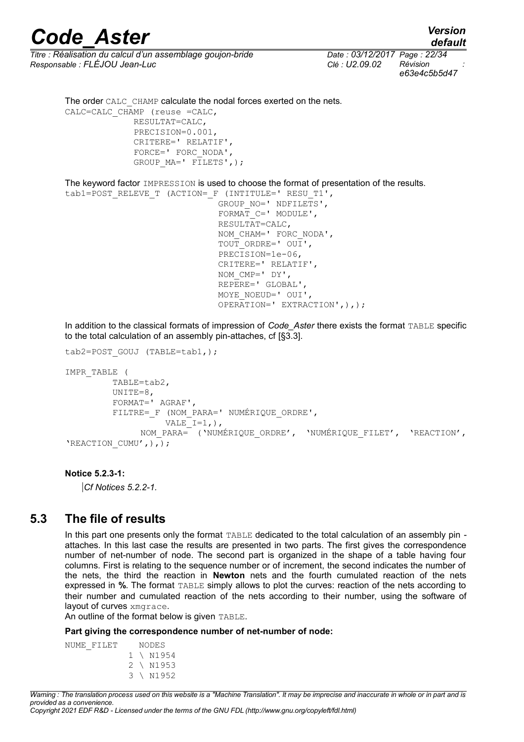*Titre : Réalisation du calcul d'un assemblage goujon-bride Date : 03/12/2017 Page : 22/34 Responsable : FLÉJOU Jean-Luc Clé : U2.09.02 Révision :*

*e63e4c5b5d47*

*default*

The order CALC\_CHAMP calculate the nodal forces exerted on the nets. CALC=CALC\_CHAMP (reuse =CALC, RESULTAT=CALC, PRECISION=0.001,

> CRITERE=' RELATIF', FORCE=' FORC\_NODA', GROUP  $MA = '$  FILETS',);

The keyword factor IMPRESSION is used to choose the format of presentation of the results.

```
tab1=POST_RELEVE_T (ACTION=_F (INTITULE=' RESU_T1',
                                GROUP_NO=' NDFILETS',
                               FORMAT C=' MODULE',
                                RESULTAT=CALC,
                                NOM_CHAM=' FORC_NODA',
                                TOUT_ORDRE=' OUI',
                                PRECISION=1e-06,
                                CRITERE=' RELATIF',
                                NOM_CMP=' DY',
                                REPERE=' GLOBAL',
                                MOYE_NOEUD=' OUI',
                                OPERATION=' EXTRACTION',),);
```
In addition to the classical formats of impression of *Code\_Aster* there exists the format TABLE specific to the total calculation of an assembly pin-attaches, cf [§3.3].

```
tab2=POST GOUJ (TABLE=tab1,);
```

```
IMPR_TABLE (
          TABLE=tab2,
          UNITE=8,
          FORMAT=' AGRAF',
         FILTRE= F (NOM PARA=' NUMÉRIQUE ORDRE',
                   VALE I=1,),
               NOM_PARA= ('NUMÉRIQUE_ORDRE', 'NUMÉRIQUE_FILET', 'REACTION',
'REACTION_CUMU',),);
```
#### **Notice 5.2.3-1:**

*Cf Notices 5.2.2-1.*

### **5.3 The file of results**

In this part one presents only the format TABLE dedicated to the total calculation of an assembly pin attaches. In this last case the results are presented in two parts. The first gives the correspondence number of net-number of node. The second part is organized in the shape of a table having four columns. First is relating to the sequence number or of increment, the second indicates the number of the nets, the third the reaction in **Newton** nets and the fourth cumulated reaction of the nets expressed in **%**. The format TABLE simply allows to plot the curves: reaction of the nets according to their number and cumulated reaction of the nets according to their number, using the software of layout of curves xmgrace.

An outline of the format below is given TABLE.

#### **Part giving the correspondence number of net-number of node:**

NUME\_FILET NODES 1 \ N1954 2 \ N1953 3 \ N1952

*Warning : The translation process used on this website is a "Machine Translation". It may be imprecise and inaccurate in whole or in part and is provided as a convenience.*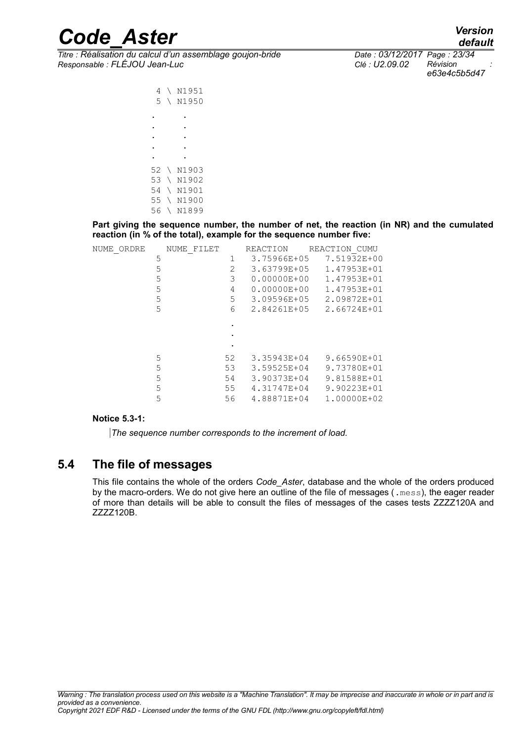$\overline{T}$ *Titre : Réalisation du calcul d'un assemblage goujon-bride Responsable : FLÉJOU Jean-Luc Clé : U2.09.02 Révision :*

 4 \ N1951 5 \ N1950 . . . . . . . . . . 52 \ N1903 53 \ N1902 54 \ N1901 55 \ N1900 56 \ N1899

**Part giving the sequence number, the number of net, the reaction (in NR) and the cumulated reaction (in % of the total), example for the sequence number five:**

| NUME ORDRE | NUME FILET |    | REACTION        | REACTION CUMU |
|------------|------------|----|-----------------|---------------|
|            | 5          | 1  | 3.75966E+05     | 7.51932E+00   |
|            | 5          | 2  | 3.63799E+05     | 1.47953E+01   |
|            | 5          | 3  | $0.00000E + 00$ | 1.47953E+01   |
|            | 5          | 4  | $0.00000E + 00$ | 1.47953E+01   |
|            | 5          | 5  | 3.09596E+05     | 2.09872E+01   |
|            | 5          | 6  | 2.84261E+05     | 2.66724E+01   |
|            |            |    |                 |               |
|            |            |    |                 |               |
|            |            |    |                 |               |
|            | 5          | 52 | 3.35943E+04     | 9.66590E+01   |
|            | 5          | 53 | $3.59525E + 04$ | 9.73780E+01   |
|            | 5          | 54 | 3.90373E+04     | 9.81588E+01   |
|            | 5          | 55 | 4.31747E+04     | 9.90223E+01   |
|            | 5          | 56 | 4.88871E+04     | 1,00000E+02   |
|            |            |    |                 |               |

#### **Notice 5.3-1:**

*The sequence number corresponds to the increment of load.*

### **5.4 The file of messages**

This file contains the whole of the orders *Code\_Aster*, database and the whole of the orders produced by the macro-orders. We do not give here an outline of the file of messages (.mess), the eager reader of more than details will be able to consult the files of messages of the cases tests ZZZZ120A and ZZZZ120B.

*e63e4c5b5d47*

# *default*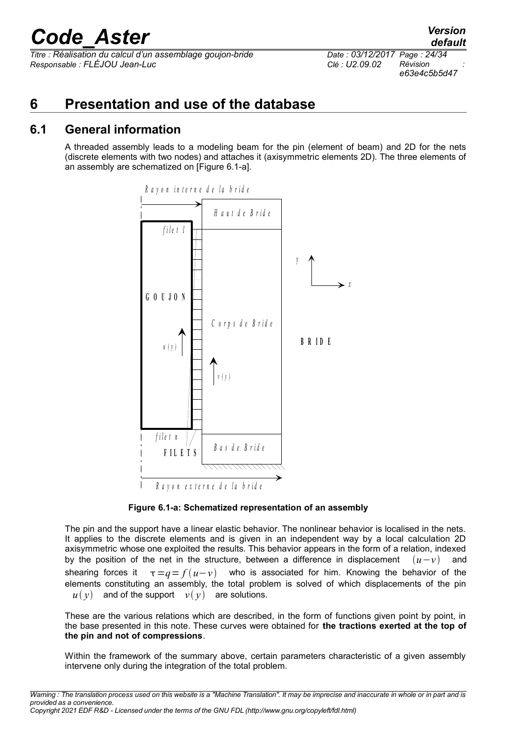$\overline{T}$ itre : Réalisation du calcul d'un assemblage goujon-bride *Responsable : FLÉJOU Jean-Luc Clé : U2.09.02 Révision :*

*e63e4c5b5d47*

## **6 Presentation and use of the database**

### **6.1 General information**

A threaded assembly leads to a modeling beam for the pin (element of beam) and 2D for the nets (discrete elements with two nodes) and attaches it (axisymmetric elements 2D). The three elements of an assembly are schematized on [Figure 6.1-a].





The pin and the support have a linear elastic behavior. The nonlinear behavior is localised in the nets. It applies to the discrete elements and is given in an independent way by a local calculation 2D axisymmetric whose one exploited the results. This behavior appears in the form of a relation, indexed by the position of the net in the structure, between a difference in displacement  $(u-v)$  and shearing forces it  $\tau = q = f(u-v)$  who is associated for him. Knowing the behavior of the elements constituting an assembly, the total problem is solved of which displacements of the pin  $u(y)$  and of the support  $v(y)$  are solutions.

These are the various relations which are described, in the form of functions given point by point, in the base presented in this note. These curves were obtained for **the tractions exerted at the top of the pin and not of compressions**.

Within the framework of the summary above, certain parameters characteristic of a given assembly intervene only during the integration of the total problem.

*default*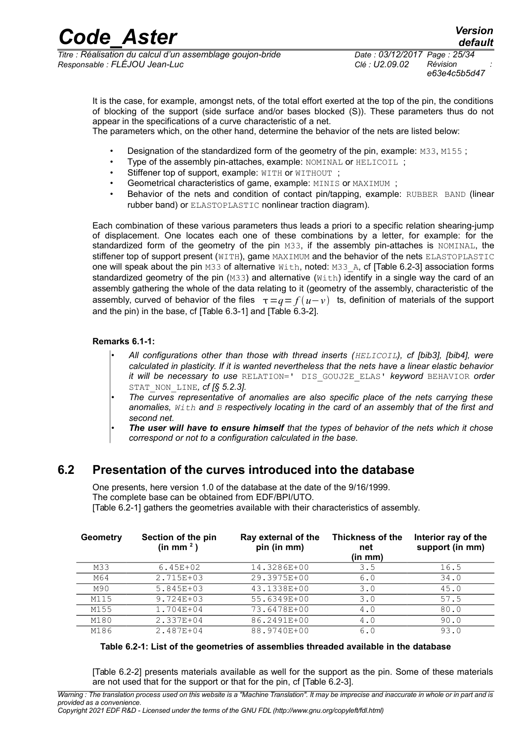*default*

It is the case, for example, amongst nets, of the total effort exerted at the top of the pin, the conditions of blocking of the support (side surface and/or bases blocked (S)). These parameters thus do not appear in the specifications of a curve characteristic of a net.

The parameters which, on the other hand, determine the behavior of the nets are listed below:

- **Designation of the standardized form of the geometry of the pin, example:** M33, M155 ;
- Type of the assembly pin-attaches, example: NOMINAL or HELICOIL ;
- Stiffener top of support, example: WITH or WITHOUT ;
- Geometrical characteristics of game, example: MINIS or MAXIMUM ;
- Behavior of the nets and condition of contact pin/tapping, example: RUBBER BAND (linear rubber band) or ELASTOPLASTIC nonlinear traction diagram).

Each combination of these various parameters thus leads a priori to a specific relation shearing-jump of displacement. One locates each one of these combinations by a letter, for example: for the standardized form of the geometry of the pin M33, if the assembly pin-attaches is NOMINAL, the stiffener top of support present (WITH), game MAXIMUM and the behavior of the nets ELASTOPLASTIC one will speak about the pin M33 of alternative With, noted: M33 A, cf [Table 6.2-3] association forms standardized geometry of the pin (M33) and alternative (With) identify in a single way the card of an assembly gathering the whole of the data relating to it (geometry of the assembly, characteristic of the assembly, curved of behavior of the files  $\tau = q = f(u-v)$  ts, definition of materials of the support and the pin) in the base, cf [Table 6.3-1] and [Table 6.3-2].

#### **Remarks 6.1-1:**

- *All configurations other than those with thread inserts (HELICOIL), cf [bib3], [bib4], were calculated in plasticity. If it is wanted nevertheless that the nets have a linear elastic behavior it will be necessary to use* RELATION=' DIS\_GOUJ2E\_ELAS' *keyword* BEHAVIOR *order* STAT\_NON\_LINE*, cf [§ 5.2.3].*
- *The curves representative of anomalies are also specific place of the nets carrying these anomalies, With and B respectively locating in the card of an assembly that of the first and second net.*
- *The user will have to ensure himself that the types of behavior of the nets which it chose correspond or not to a configuration calculated in the base.*

### **6.2 Presentation of the curves introduced into the database**

One presents, here version 1.0 of the database at the date of the 9/16/1999. The complete base can be obtained from EDF/BPI/UTO.

[Table 6.2-1] gathers the geometries available with their characteristics of assembly.

| Geometry | Section of the pin<br>(in mm $2$ ) | Ray external of the<br>pin (in mm) | Thickness of the<br>net<br>(in mm) | Interior ray of the<br>support (in mm) |
|----------|------------------------------------|------------------------------------|------------------------------------|----------------------------------------|
| M33      | $6.45E + 02$                       | 14.3286E+00                        | 3.5                                | 16.5                                   |
| M64      | 2.715E+03                          | 29.3975E+00                        | 6.0                                | 34.0                                   |
| M90      | 5.845E+03                          | 43.1338E+00                        | 3.0                                | 45.0                                   |
| M115     | 9.724E+03                          | 55.6349E+00                        | 3.0                                | 57.5                                   |
| M155     | 1.704E+04                          | 73.6478E+00                        | 4.0                                | 80.0                                   |
| M180     | 2.337E+04                          | 86.2491E+00                        | 4.0                                | 90.0                                   |
| M186     | $2.487E + 04$                      | 88.9740E+00                        | 6.0                                | 93.0                                   |

#### **Table 6.2-1: List of the geometries of assemblies threaded available in the database**

[Table 6.2-2] presents materials available as well for the support as the pin. Some of these materials are not used that for the support or that for the pin, cf [Table 6.2-3].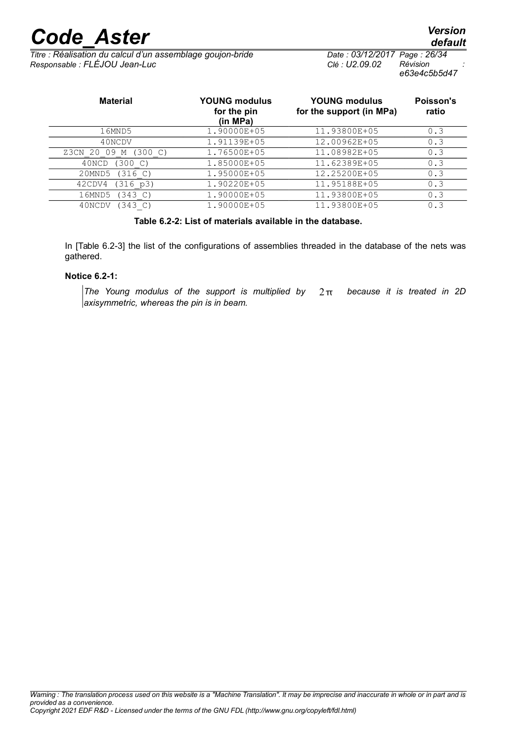*Titre : Réalisation du calcul d'un assemblage goujon-bride Date : 03/12/2017 Page : 26/34 Responsable : FLÉJOU Jean-Luc Clé : U2.09.02 Révision :*

*e63e4c5b5d47*

| <b>Material</b>                  | <b>YOUNG modulus</b><br>for the pin<br>(in MPa) | <b>YOUNG modulus</b><br>for the support (in MPa) | <b>Poisson's</b><br>ratio |
|----------------------------------|-------------------------------------------------|--------------------------------------------------|---------------------------|
| 16MND5                           | 1.90000E+05                                     | 11.93800E+05                                     | 0.3                       |
| 40NCDV                           | 1.91139E+05                                     | 12.00962E+05                                     | 0.3                       |
| (300 C)<br>Z3CN 20 09<br>М       | 1.76500E+05                                     | 11.08982E+05                                     | 0.3                       |
| 40NCD<br>1300<br>$\mathcal{C}$ ) | 1.85000E+05                                     | 11.62389E+05                                     | 0.3                       |
| 20MND5<br>(316 C)                | 1.95000E+05                                     | 12.25200E+05                                     | 0.3                       |
| 42CDV4<br>(316 p3)               | 1.90220E+05                                     | 11.95188E+05                                     | 0.3                       |
| (343 C)<br>16MND5                | 1.90000E+05                                     | 11.93800E+05                                     | 0.3                       |
| 40NCDV<br>(343 C)                | 1.90000E+05                                     | 11.93800E+05                                     | 0.3                       |

#### **Table 6.2-2: List of materials available in the database.**

In [Table 6.2-3] the list of the configurations of assemblies threaded in the database of the nets was gathered.

#### **Notice 6.2-1:**

*The Young modulus of the support is multiplied by*  $2\pi$  because it is treated in 2D *axisymmetric, whereas the pin is in beam.*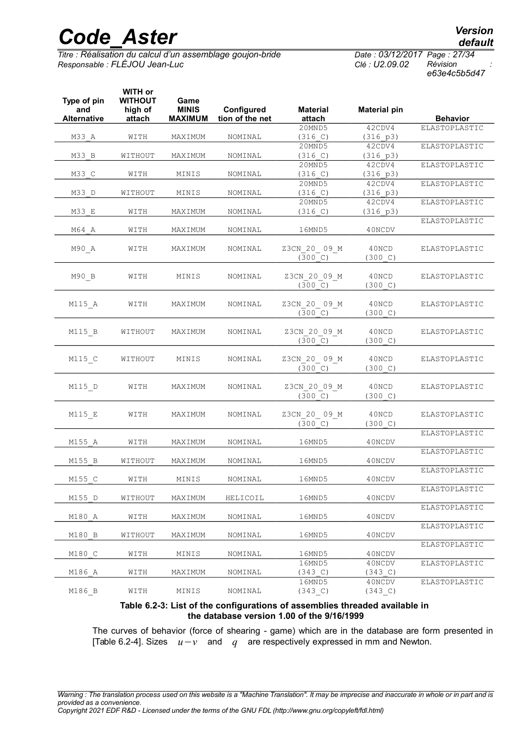*Titre : Réalisation du calcul d'un assemblage goujon-bride Date : 03/12/2017 Page : 27/34 Responsable : FLÉJOU Jean-Luc Clé : U2.09.02 Révision :*

*e63e4c5b5d47*

| Type of pin<br>and<br><b>Alternative</b> | <b>WITH or</b><br><b>WITHOUT</b><br>high of<br>attach | Game<br><b>MINIS</b><br><b>MAXIMUM</b> | Configured<br>tion of the net | <b>Material</b><br>attach   | <b>Material pin</b> | <b>Behavior</b> |
|------------------------------------------|-------------------------------------------------------|----------------------------------------|-------------------------------|-----------------------------|---------------------|-----------------|
|                                          |                                                       |                                        |                               | 20MND5                      | 42CDV4              | ELASTOPLASTIC   |
| M33 A                                    | WITH                                                  | MAXIMUM                                | NOMINAL                       | (316 C)                     | (316 p3)            |                 |
|                                          |                                                       |                                        |                               | 20MND5                      | 42CDV4              | ELASTOPLASTIC   |
| M33 B                                    | WITHOUT                                               | MAXIMUM                                | NOMINAL                       | (316 C)                     | $(316_p3)$          |                 |
|                                          |                                                       |                                        |                               | 20MND5                      | 42CDV4              | ELASTOPLASTIC   |
| M33 C                                    | WITH                                                  | MINIS                                  | NOMINAL                       | (316 C)                     | (316 p3)            |                 |
|                                          |                                                       |                                        |                               | 20MND5                      | 42CDV4              | ELASTOPLASTIC   |
| M33 D                                    | WITHOUT                                               | MINIS                                  | NOMINAL                       | (316 C)                     | $(316_p3)$          |                 |
|                                          |                                                       |                                        |                               | 20MND5                      | 42CDV4              | ELASTOPLASTIC   |
| M33 E                                    | WITH                                                  | MAXIMUM                                | NOMINAL                       | (316 C)                     | (316 p3)            |                 |
|                                          |                                                       |                                        |                               |                             |                     | ELASTOPLASTIC   |
| M64 A                                    | WITH                                                  | MAXIMUM                                | NOMINAL                       | 16MND5                      | 40NCDV              |                 |
| M90_A                                    | WITH                                                  | MAXIMUM                                | NOMINAL                       | Z3CN 20 09 M<br>(300 C)     | 40NCD<br>(300 C)    | ELASTOPLASTIC   |
| M90 B                                    | WITH                                                  | MINIS                                  | NOMINAL                       | Z3CN_20_09_M<br>(300 C)     | 40NCD<br>(300 C)    | ELASTOPLASTIC   |
| M115 A                                   | WITH                                                  | MAXIMUM                                | NOMINAL                       | Z3CN 20 09 M<br>(300 C)     | 40NCD<br>(300 C)    | ELASTOPLASTIC   |
| M115 B                                   | WITHOUT                                               | MAXIMUM                                | NOMINAL                       | Z3CN 20 09 M<br>$(300 \nC)$ | 40NCD<br>(300 C)    | ELASTOPLASTIC   |
| M115 C                                   | WITHOUT                                               | MINIS                                  | NOMINAL                       | Z3CN 20 09 M<br>(300 C)     | 40NCD<br>(300 C)    | ELASTOPLASTIC   |
| M115 D                                   | WITH                                                  | MAXIMUM                                | NOMINAL                       | Z3CN 20 09 M<br>(300 C)     | 40NCD<br>(300 C)    | ELASTOPLASTIC   |
| M115 E                                   | WITH                                                  | MAXIMUM                                | NOMINAL                       | Z3CN 20 09 M<br>(300 C)     | 40NCD<br>(300 C)    | ELASTOPLASTIC   |
| M155 A                                   | WITH                                                  | MAXIMUM                                | NOMINAL                       | 16MND5                      | 40NCDV              | ELASTOPLASTIC   |
| M155 B                                   | WITHOUT                                               | MAXIMUM                                | NOMINAL                       | 16MND5                      | 40NCDV              | ELASTOPLASTIC   |
|                                          |                                                       |                                        |                               |                             |                     | ELASTOPLASTIC   |
| M155 C                                   | WITH                                                  | MINIS                                  | NOMINAL                       | 16MND5                      | 40NCDV              |                 |
| M155 D                                   | <b>TUOHTIW</b>                                        | MAXIMUM                                | HELICOIL                      | 16MND5                      | 40NCDV              | ELASTOPLASTIC   |
|                                          |                                                       |                                        |                               |                             |                     | ELASTOPLASTIC   |
| M180 A                                   | WITH                                                  | MAXIMUM                                | NOMINAL                       | 16MND5                      | 40NCDV              |                 |
| M180 B                                   | WITHOUT                                               | MAXIMUM                                | NOMINAL                       | 16MND5                      | 40NCDV              | ELASTOPLASTIC   |
|                                          |                                                       |                                        |                               |                             |                     | ELASTOPLASTIC   |
| M180 C                                   | WITH                                                  | MINIS                                  | NOMINAL                       | 16MND5                      | 40NCDV              |                 |
|                                          |                                                       |                                        |                               | 16MND5                      | 40NCDV              | ELASTOPLASTIC   |
| M186 A                                   | WITH                                                  | MAXIMUM                                | NOMINAL                       | (343 C)                     | (343 C)             |                 |
|                                          |                                                       |                                        |                               | 16MND5                      | 40NCDV              | ELASTOPLASTIC   |
| M186 B                                   | WITH                                                  | MINIS                                  | NOMINAL                       | (343 C)                     | (343 C)             |                 |

#### **Table 6.2-3: List of the configurations of assemblies threaded available in the database version 1.00 of the 9/16/1999**

The curves of behavior (force of shearing - game) which are in the database are form presented in [Table 6.2-4]. Sizes *u*−*v* and *q* are respectively expressed in mm and Newton.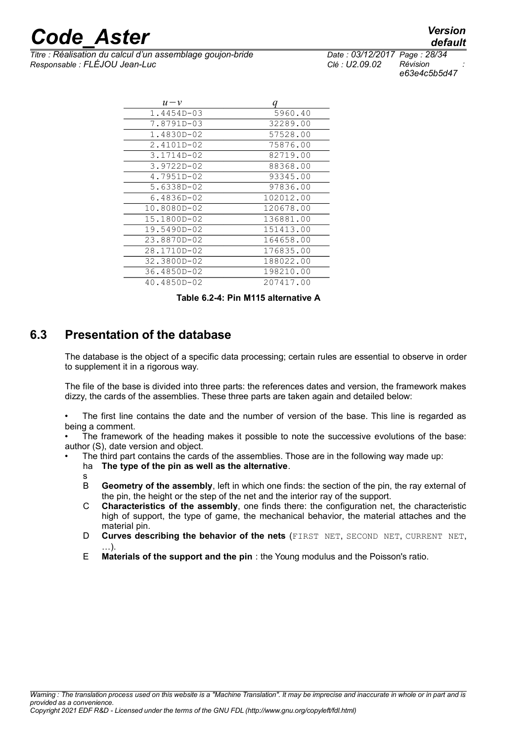$\overline{T}$ itre : *Réalisation du calcul d'un assemblage goujon-bride Responsable : FLÉJOU Jean-Luc Clé : U2.09.02 Révision :*

*e63e4c5b5d47*

| $u - v$         |           |
|-----------------|-----------|
| $1.4454D - 03$  | 5960.40   |
| 7.8791D-03      | 32289.00  |
| $1.4830D - 02$  | 57528.00  |
| 2.4101D-02      | 75876.00  |
| $3.1714D - 02$  | 82719.00  |
| $3.9722D - 02$  | 88368.00  |
| 4.7951D-02      | 93345.00  |
| $5.6338D - 02$  | 97836.00  |
| $6.4836D - 02$  | 102012.00 |
| 10.8080D-02     | 120678.00 |
| $15.1800D - 02$ | 136881.00 |
| $19.5490D - 02$ | 151413.00 |
| 23.8870D-02     | 164658.00 |
| 28.1710D-02     | 176835.00 |
| 32.3800D-02     | 188022.00 |
| 36.4850D-02     | 198210.00 |
| 40.4850D-02     | 207417.00 |

**Table 6.2-4: Pin M115 alternative A**

## **6.3 Presentation of the database**

s

The database is the object of a specific data processing; certain rules are essential to observe in order to supplement it in a rigorous way.

The file of the base is divided into three parts: the references dates and version, the framework makes dizzy, the cards of the assemblies. These three parts are taken again and detailed below:

The first line contains the date and the number of version of the base. This line is regarded as being a comment.

The framework of the heading makes it possible to note the successive evolutions of the base: author (S), date version and object.

The third part contains the cards of the assemblies. Those are in the following way made up:

ha **The type of the pin as well as the alternative**.

- B **Geometry of the assembly**, left in which one finds: the section of the pin, the ray external of the pin, the height or the step of the net and the interior ray of the support.
- C **Characteristics of the assembly**, one finds there: the configuration net, the characteristic high of support, the type of game, the mechanical behavior, the material attaches and the material pin.
- D **Curves describing the behavior of the nets** (FIRST NET, SECOND NET, CURRENT NET,  $\rightarrow$
- E **Materials of the support and the pin** : the Young modulus and the Poisson's ratio.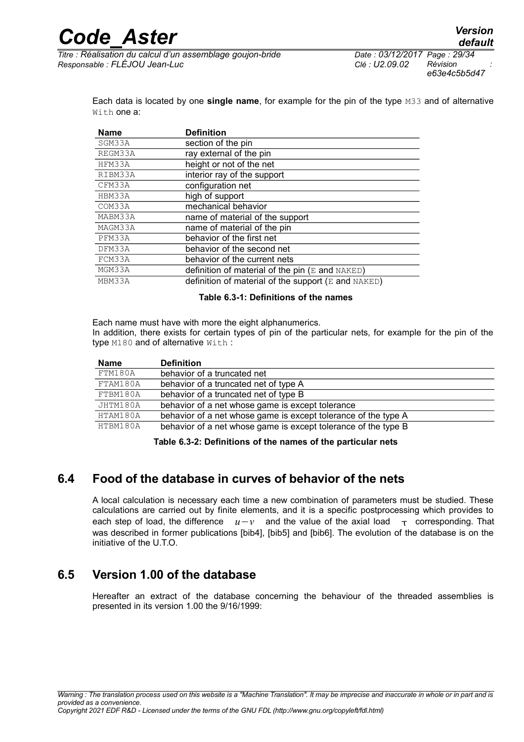*e63e4c5b5d47*

Each data is located by one **single name**, for example for the pin of the type M33 and of alternative With one a:

| <b>Name</b> | <b>Definition</b>                                         |
|-------------|-----------------------------------------------------------|
| SGM33A      | section of the pin                                        |
| REGM33A     | ray external of the pin                                   |
| HFM33A      | height or not of the net                                  |
| RIBM33A     | interior ray of the support                               |
| CFM33A      | configuration net                                         |
| HBM33A      | high of support                                           |
| COM33A      | mechanical behavior                                       |
| MABM33A     | name of material of the support                           |
| MAGM33A     | name of material of the pin                               |
| PFM33A      | behavior of the first net                                 |
| DFM33A      | behavior of the second net                                |
| FCM33A      | behavior of the current nets                              |
| MGM33A      | definition of material of the pin ( $E$ and NAKED)        |
| MBM33A      | definition of material of the support ( $E$ and $NAKED$ ) |

#### **Table 6.3-1: Definitions of the names**

Each name must have with more the eight alphanumerics. In addition, there exists for certain types of pin of the particular nets, for example for the pin of the type M180 and of alternative With:

| <b>Name</b> | <b>Definition</b>                                              |
|-------------|----------------------------------------------------------------|
| FTM180A     | behavior of a truncated net                                    |
| FTAM180A    | behavior of a truncated net of type A                          |
| FTBM180A    | behavior of a truncated net of type B                          |
| JHTM180A    | behavior of a net whose game is except tolerance               |
| HTAM180A    | behavior of a net whose game is except tolerance of the type A |
| HTBM180A    | behavior of a net whose game is except tolerance of the type B |

**Table 6.3-2: Definitions of the names of the particular nets**

### **6.4 Food of the database in curves of behavior of the nets**

A local calculation is necessary each time a new combination of parameters must be studied. These calculations are carried out by finite elements, and it is a specific postprocessing which provides to each step of load, the difference  $u-v$  and the value of the axial load  $\tau$  corresponding. That was described in former publications [bib4], [bib5] and [bib6]. The evolution of the database is on the initiative of the U.T.O.

### **6.5 Version 1.00 of the database**

Hereafter an extract of the database concerning the behaviour of the threaded assemblies is presented in its version 1.00 the 9/16/1999: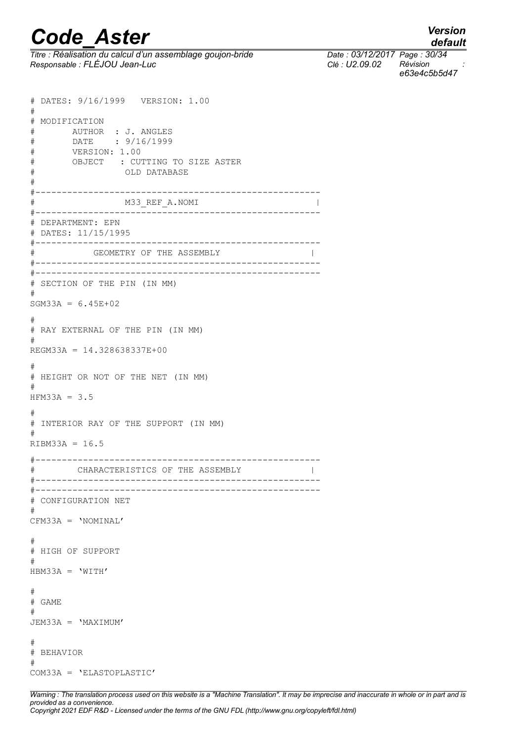$\overline{T}$ itre : Réalisation du calcul d'un assemblage goujon-bride *Responsable : FLÉJOU Jean-Luc Clé : U2.09.02 Révision :*

*e63e4c5b5d47*

# DATES: 9/16/1999 VERSION: 1.00 # # MODIFICATION # AUTHOR : J. ANGLES # DATE : 9/16/1999 # VERSION: 1.00 # OBJECT : CUTTING TO SIZE ASTER # OLD DATABASE # #------------------------------------------------------ # M33\_REF\_A.NOMI | #------------------------------------------------------ # DEPARTMENT: EPN # DATES: 11/15/1995 #------------------------------------------------------ # GEOMETRY OF THE ASSEMBLY | #------------------------------------------------------ #------------------------------------------------------ # SECTION OF THE PIN (IN MM) #  $SGM33A = 6.45E+02$ # # RAY EXTERNAL OF THE PIN (IN MM) # REGM33A = 14.328638337E+00 # # HEIGHT OR NOT OF THE NET (IN MM) # HFM33A = 3.5 # # INTERIOR RAY OF THE SUPPORT (IN MM) #  $RIBM33A = 16.5$ #------------------------------------------------------ # CHARACTERISTICS OF THE ASSEMBLY | #------------------------------------------------------ #------------------------------------------------------ # CONFIGURATION NET # CFM33A = 'NOMINAL' # # HIGH OF SUPPORT #  $HBM33A = 'WITH'$ # # GAME # JEM33A = 'MAXIMUM' # # BEHAVIOR # COM33A = 'ELASTOPLASTIC'

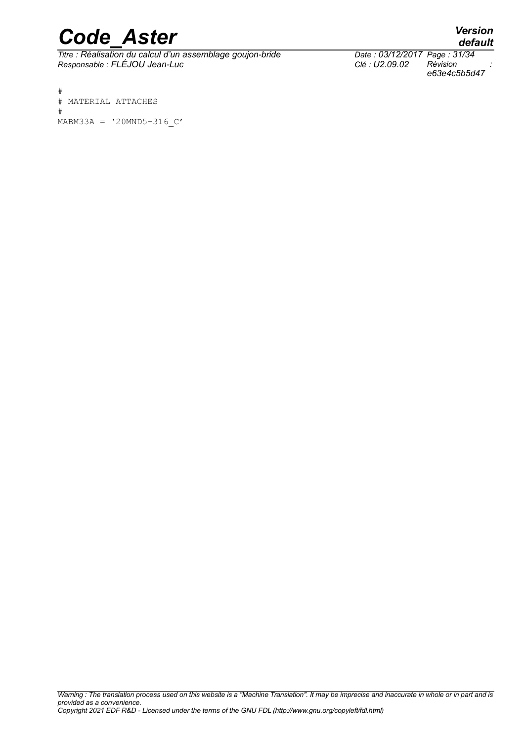*Titre : Réalisation du calcul d'un assemblage goujon-bride Date : 03/12/2017 Page : 31/34 Responsable : FLÉJOU Jean-Luc Clé : U2.09.02 Révision :*

*default e63e4c5b5d47*

# # MATERIAL ATTACHES # MABM33A = '20MND5-316\_C'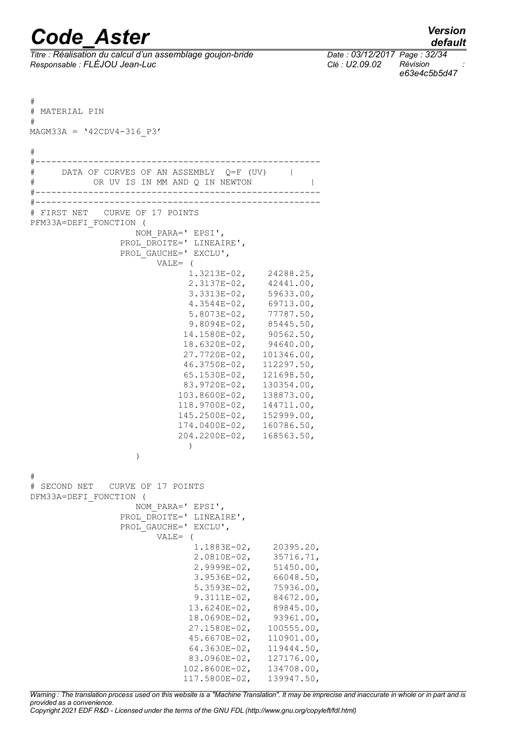*Titre : Réalisation du calcul d'un assemblage goujon-bride Date : 03/12/2017 Page : 32/34 Responsable : FLÉJOU Jean-Luc Clé : U2.09.02 Révision :*

*e63e4c5b5d47*

# # MATERIAL PIN #  $MAGM33A = '42CDV4-316P3'$ # #------------------------------------------------------ # DATA OF CURVES OF AN ASSEMBLY Q=F (UV) | # OR UV IS IN MM AND Q IN NEWTON | #------------------------------------------------------ #------------------------------------------------------ # FIRST NET CURVE OF 17 POINTS PFM33A=DEFI\_FONCTION ( NOM\_PARA=' EPSI', PROL DROITE=' LINEAIRE', PROL\_GAUCHE=' EXCLU', VALE= ( 1.3213E-02, 24288.25, 2.3137E-02, 42441.00, 3.3313E-02, 59633.00, 4.3544E-02, 69713.00, 5.8073E-02, 77787.50, 9.8094E-02, 85445.50, 14.1580E-02, 90562.50, 18.6320E-02, 94640.00, 27.7720E-02, 101346.00,  $46.3750E-02$ ,  $112297.50$ , 65.1530E-02, 121698.50,  $83.9720E-02$ ,  $130354.00$ , 103.8600E-02, 138873.00, 118.9700E-02, 144711.00, 145.2500E-02, 152999.00, 174.0400E-02, 160786.50, 204.2200E-02, 168563.50,  $)$  $)$ # # SECOND NET CURVE OF 17 POINTS DFM33A=DEFI\_FONCTION ( NOM\_PARA=' EPSI', PROL DROITE=' LINEAIRE', PROL\_GAUCHE=' EXCLU', VALE= ( 1.1883E-02, 20395.20, 2.0810E-02, 35716.71, 2.9999E-02, 51450.00, 3.9536E-02, 66048.50, 5.3593E-02, 75936.00, 9.3111E-02, 84672.00,<br>3.6240E-02, 89845.00, 13.6240E-02, 89845.00,<br>18.0690E-02, 93961.00,  $18.0690E-02,$  27.1580E-02, 100555.00, 45.6670E-02, 110901.00, 64.3630E-02, 119444.50, 83.0960E-02, 127176.00, 102.8600E-02, 134708.00, 117.5800E-02, 139947.50,

*Warning : The translation process used on this website is a "Machine Translation". It may be imprecise and inaccurate in whole or in part and is provided as a convenience.*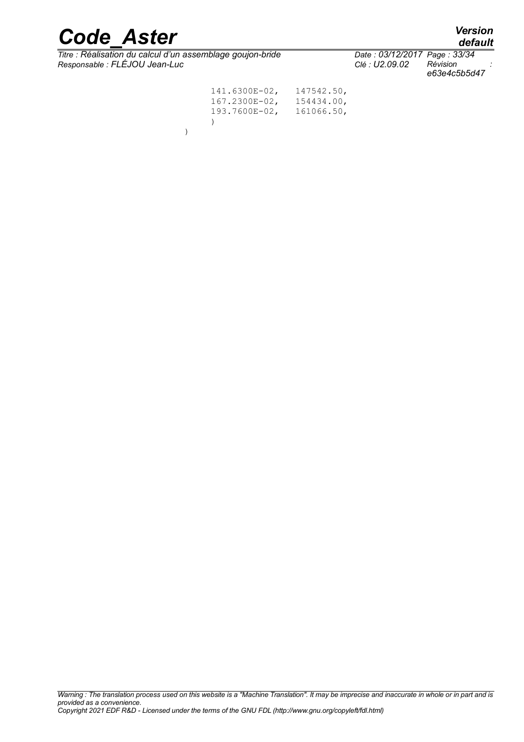)

*Titre : Réalisation du calcul d'un assemblage goujon-bride Date : 03/12/2017 Page : 33/34 Responsable : FLÉJOU Jean-Luc Clé : U2.09.02 Révision :*

*e63e4c5b5d47*

*default*

| 141.6300E-02, | 147542.50, |
|---------------|------------|
| 167.2300E-02, | 154434.00, |
| 193.7600E-02, | 161066.50, |
|               |            |
|               |            |